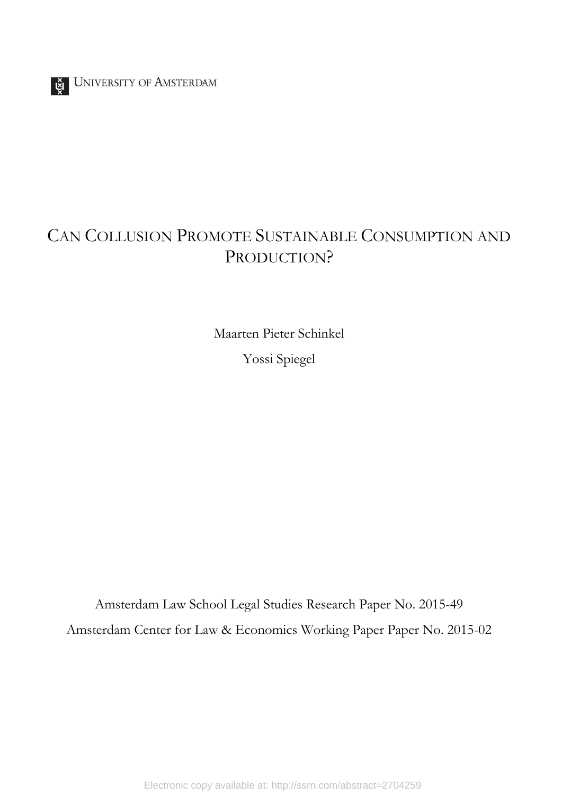

## CAN COLLUSION PROMOTE SUSTAINABLE CONSUMPTION AND PRODUCTION?

Maarten Pieter Schinkel Yossi Spiegel

Amsterdam Law School Legal Studies Research Paper No. 2015-49 Amsterdam Center for Law & Economics Working Paper Paper No. 2015-02

Electronic copy available at: http://ssrn.com/abstract=2704259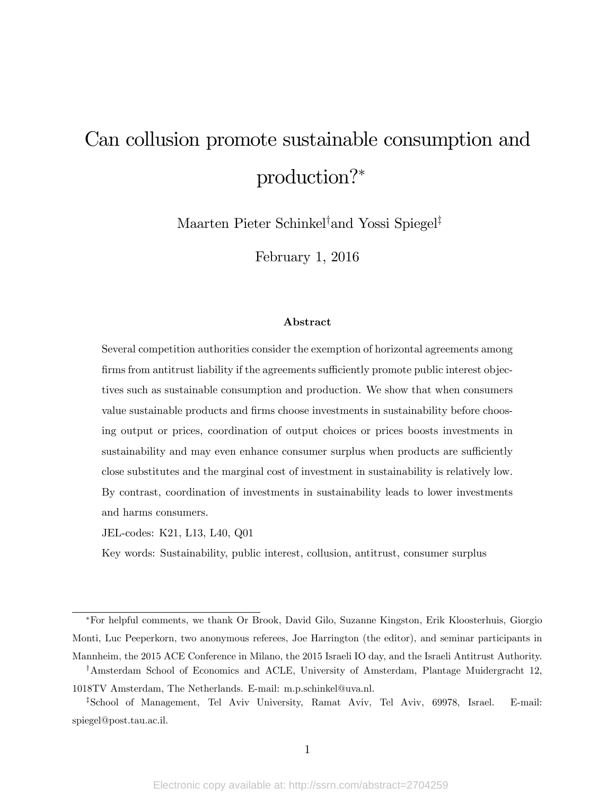# Can collusion promote sustainable consumption and production?

Maarten Pieter Schinkel<sup>†</sup>and Yossi Spiegel<sup>‡</sup>

February 1, 2016

#### Abstract

Several competition authorities consider the exemption of horizontal agreements among firms from antitrust liability if the agreements sufficiently promote public interest objectives such as sustainable consumption and production. We show that when consumers value sustainable products and firms choose investments in sustainability before choosing output or prices, coordination of output choices or prices boosts investments in sustainability and may even enhance consumer surplus when products are sufficiently close substitutes and the marginal cost of investment in sustainability is relatively low. By contrast, coordination of investments in sustainability leads to lower investments and harms consumers.

JEL-codes: K21, L13, L40, Q01

Key words: Sustainability, public interest, collusion, antitrust, consumer surplus

For helpful comments, we thank Or Brook, David Gilo, Suzanne Kingston, Erik Kloosterhuis, Giorgio Monti, Luc Peeperkorn, two anonymous referees, Joe Harrington (the editor), and seminar participants in Mannheim, the 2015 ACE Conference in Milano, the 2015 Israeli IO day, and the Israeli Antitrust Authority.

<sup>&</sup>lt;sup>†</sup>Amsterdam School of Economics and ACLE, University of Amsterdam, Plantage Muidergracht 12, 1018TV Amsterdam, The Netherlands. E-mail: m.p.schinkel@uva.nl.

<sup>&</sup>lt;sup>‡</sup>School of Management, Tel Aviv University, Ramat Aviv, Tel Aviv, 69978, Israel. E-mail: spiegel@post.tau.ac.il.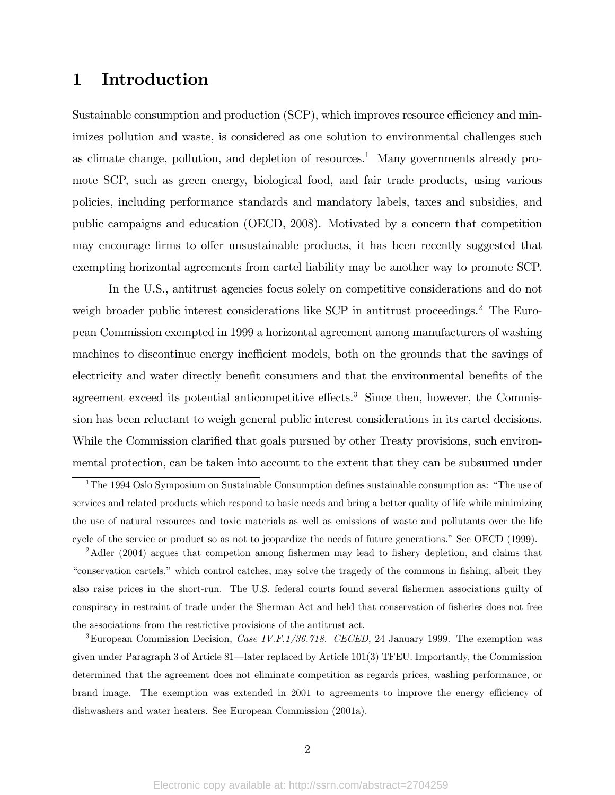## 1 Introduction

Sustainable consumption and production  $(SCP)$ , which improves resource efficiency and minimizes pollution and waste, is considered as one solution to environmental challenges such as climate change, pollution, and depletion of resources.<sup>1</sup> Many governments already promote SCP, such as green energy, biological food, and fair trade products, using various policies, including performance standards and mandatory labels, taxes and subsidies, and public campaigns and education (OECD, 2008). Motivated by a concern that competition may encourage firms to offer unsustainable products, it has been recently suggested that exempting horizontal agreements from cartel liability may be another way to promote SCP.

In the U.S., antitrust agencies focus solely on competitive considerations and do not weigh broader public interest considerations like SCP in antitrust proceedings.<sup>2</sup> The European Commission exempted in 1999 a horizontal agreement among manufacturers of washing machines to discontinue energy inefficient models, both on the grounds that the savings of electricity and water directly benefit consumers and that the environmental benefits of the agreement exceed its potential anticompetitive effects.<sup>3</sup> Since then, however, the Commission has been reluctant to weigh general public interest considerations in its cartel decisions. While the Commission clarified that goals pursued by other Treaty provisions, such environmental protection, can be taken into account to the extent that they can be subsumed under

<sup>&</sup>lt;sup>1</sup>The 1994 Oslo Symposium on Sustainable Consumption defines sustainable consumption as: "The use of services and related products which respond to basic needs and bring a better quality of life while minimizing the use of natural resources and toxic materials as well as emissions of waste and pollutants over the life cycle of the service or product so as not to jeopardize the needs of future generations." See OECD (1999).

 $2$ Adler (2004) argues that competion among fishermen may lead to fishery depletion, and claims that ìconservation cartels,î which control catches, may solve the tragedy of the commons in Öshing, albeit they also raise prices in the short-run. The U.S. federal courts found several fishermen associations guilty of conspiracy in restraint of trade under the Sherman Act and held that conservation of fisheries does not free the associations from the restrictive provisions of the antitrust act.

<sup>&</sup>lt;sup>3</sup>European Commission Decision, *Case IV.F.1/36.718. CECED*, 24 January 1999. The exemption was given under Paragraph 3 of Article 81—later replaced by Article 101(3) TFEU. Importantly, the Commission determined that the agreement does not eliminate competition as regards prices, washing performance, or brand image. The exemption was extended in 2001 to agreements to improve the energy efficiency of dishwashers and water heaters. See European Commission (2001a).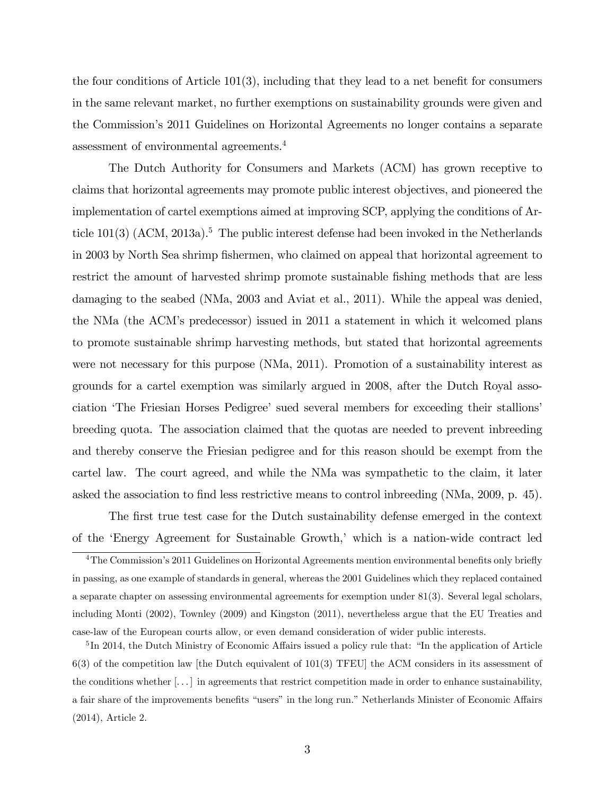the four conditions of Article  $101(3)$ , including that they lead to a net benefit for consumers in the same relevant market, no further exemptions on sustainability grounds were given and the Commissionís 2011 Guidelines on Horizontal Agreements no longer contains a separate assessment of environmental agreements.<sup>4</sup>

The Dutch Authority for Consumers and Markets (ACM) has grown receptive to claims that horizontal agreements may promote public interest objectives, and pioneered the implementation of cartel exemptions aimed at improving SCP, applying the conditions of Article  $101(3)$  (ACM,  $2013a$ ).<sup>5</sup> The public interest defense had been invoked in the Netherlands in 2003 by North Sea shrimp fishermen, who claimed on appeal that horizontal agreement to restrict the amount of harvested shrimp promote sustainable fishing methods that are less damaging to the seabed (NMa, 2003 and Aviat et al., 2011). While the appeal was denied, the NMa (the ACMís predecessor) issued in 2011 a statement in which it welcomed plans to promote sustainable shrimp harvesting methods, but stated that horizontal agreements were not necessary for this purpose (NMa, 2011). Promotion of a sustainability interest as grounds for a cartel exemption was similarly argued in 2008, after the Dutch Royal association 'The Friesian Horses Pedigree' sued several members for exceeding their stallions' breeding quota. The association claimed that the quotas are needed to prevent inbreeding and thereby conserve the Friesian pedigree and for this reason should be exempt from the cartel law. The court agreed, and while the NMa was sympathetic to the claim, it later asked the association to find less restrictive means to control inbreeding (NMa, 2009, p. 45).

The first true test case for the Dutch sustainability defense emerged in the context of the 'Energy Agreement for Sustainable Growth,' which is a nation-wide contract led

 $4$ The Commission's 2011 Guidelines on Horizontal Agreements mention environmental benefits only briefly in passing, as one example of standards in general, whereas the 2001 Guidelines which they replaced contained a separate chapter on assessing environmental agreements for exemption under 81(3). Several legal scholars, including Monti (2002), Townley (2009) and Kingston (2011), nevertheless argue that the EU Treaties and case-law of the European courts allow, or even demand consideration of wider public interests.

 ${}^{5}$ In 2014, the Dutch Ministry of Economic Affairs issued a policy rule that: "In the application of Article 6(3) of the competition law [the Dutch equivalent of 101(3) TFEU] the ACM considers in its assessment of the conditions whether  $[\ldots]$  in agreements that restrict competition made in order to enhance sustainability, a fair share of the improvements benefits "users" in the long run." Netherlands Minister of Economic Affairs (2014), Article 2.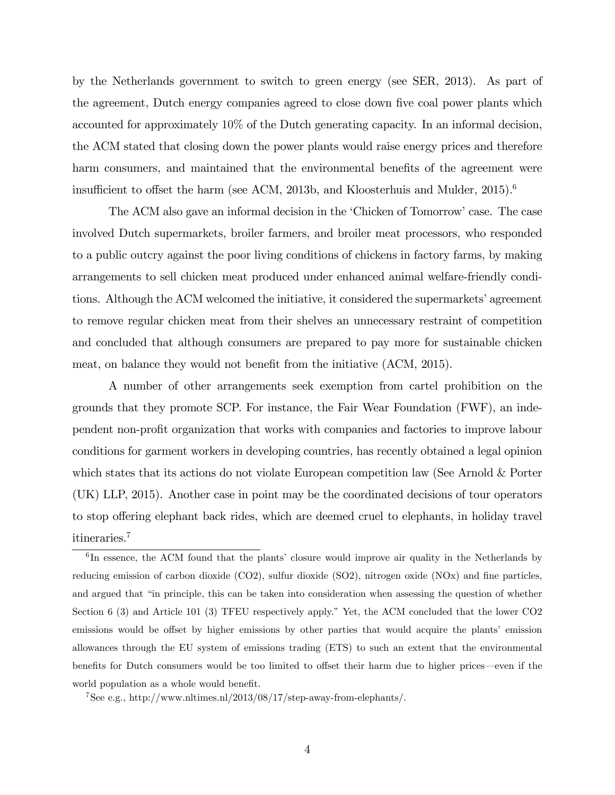by the Netherlands government to switch to green energy (see SER, 2013). As part of the agreement, Dutch energy companies agreed to close down five coal power plants which accounted for approximately 10% of the Dutch generating capacity. In an informal decision, the ACM stated that closing down the power plants would raise energy prices and therefore harm consumers, and maintained that the environmental benefits of the agreement were insufficient to offset the harm (see ACM, 2013b, and Kloosterhuis and Mulder,  $2015$ ).<sup>6</sup>

The ACM also gave an informal decision in the 'Chicken of Tomorrow' case. The case involved Dutch supermarkets, broiler farmers, and broiler meat processors, who responded to a public outcry against the poor living conditions of chickens in factory farms, by making arrangements to sell chicken meat produced under enhanced animal welfare-friendly conditions. Although the ACM welcomed the initiative, it considered the supermarkets' agreement to remove regular chicken meat from their shelves an unnecessary restraint of competition and concluded that although consumers are prepared to pay more for sustainable chicken meat, on balance they would not benefit from the initiative (ACM, 2015).

A number of other arrangements seek exemption from cartel prohibition on the grounds that they promote SCP. For instance, the Fair Wear Foundation (FWF), an independent non-proÖt organization that works with companies and factories to improve labour conditions for garment workers in developing countries, has recently obtained a legal opinion which states that its actions do not violate European competition law (See Arnold & Porter (UK) LLP, 2015). Another case in point may be the coordinated decisions of tour operators to stop offering elephant back rides, which are deemed cruel to elephants, in holiday travel itineraries.<sup>7</sup>

 ${}^{6}$ In essence, the ACM found that the plants' closure would improve air quality in the Netherlands by reducing emission of carbon dioxide  $(CO2)$ , sulfur dioxide  $(SO2)$ , nitrogen oxide  $(NOx)$  and fine particles, and argued that "in principle, this can be taken into consideration when assessing the question of whether Section 6 (3) and Article 101 (3) TFEU respectively apply." Yet, the ACM concluded that the lower CO2 emissions would be offset by higher emissions by other parties that would acquire the plants' emission allowances through the EU system of emissions trading (ETS) to such an extent that the environmental benefits for Dutch consumers would be too limited to offset their harm due to higher prices—even if the world population as a whole would benefit.

<sup>&</sup>lt;sup>7</sup>See e.g., http://www.nltimes.nl/2013/08/17/step-away-from-elephants/.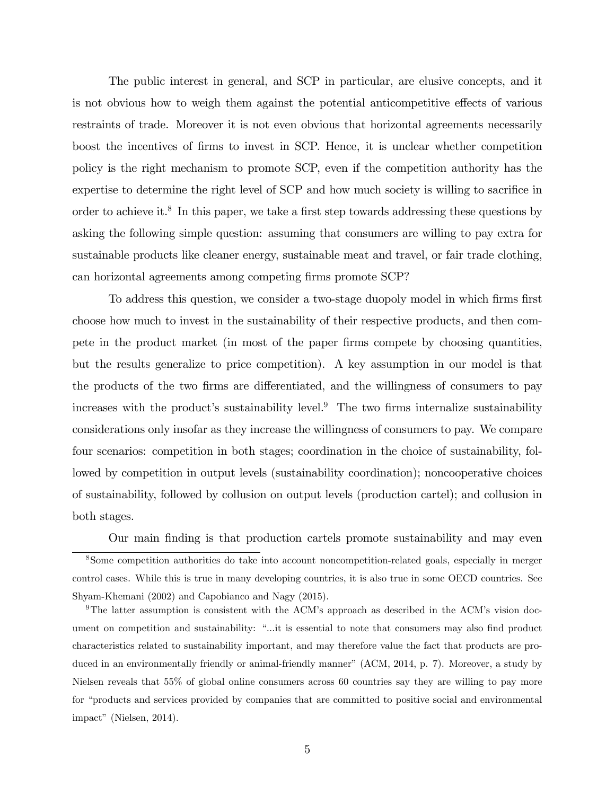The public interest in general, and SCP in particular, are elusive concepts, and it is not obvious how to weigh them against the potential anticompetitive effects of various restraints of trade. Moreover it is not even obvious that horizontal agreements necessarily boost the incentives of Örms to invest in SCP. Hence, it is unclear whether competition policy is the right mechanism to promote SCP, even if the competition authority has the expertise to determine the right level of SCP and how much society is willing to sacrifice in order to achieve it.<sup>8</sup> In this paper, we take a first step towards addressing these questions by asking the following simple question: assuming that consumers are willing to pay extra for sustainable products like cleaner energy, sustainable meat and travel, or fair trade clothing, can horizontal agreements among competing firms promote SCP?

To address this question, we consider a two-stage duopoly model in which firms first choose how much to invest in the sustainability of their respective products, and then compete in the product market (in most of the paper firms compete by choosing quantities, but the results generalize to price competition). A key assumption in our model is that the products of the two firms are differentiated, and the willingness of consumers to pay increases with the product's sustainability level.<sup>9</sup> The two firms internalize sustainability considerations only insofar as they increase the willingness of consumers to pay. We compare four scenarios: competition in both stages; coordination in the choice of sustainability, followed by competition in output levels (sustainability coordination); noncooperative choices of sustainability, followed by collusion on output levels (production cartel); and collusion in both stages.

Our main Önding is that production cartels promote sustainability and may even <sup>8</sup>Some competition authorities do take into account noncompetition-related goals, especially in merger control cases. While this is true in many developing countries, it is also true in some OECD countries. See Shyam-Khemani (2002) and Capobianco and Nagy (2015).

<sup>9</sup>The latter assumption is consistent with the ACM's approach as described in the ACM's vision document on competition and sustainability: "...it is essential to note that consumers may also find product characteristics related to sustainability important, and may therefore value the fact that products are produced in an environmentally friendly or animal-friendly manner" (ACM, 2014, p. 7). Moreover, a study by Nielsen reveals that 55% of global online consumers across 60 countries say they are willing to pay more for "products and services provided by companies that are committed to positive social and environmental  $impat''$  (Nielsen, 2014).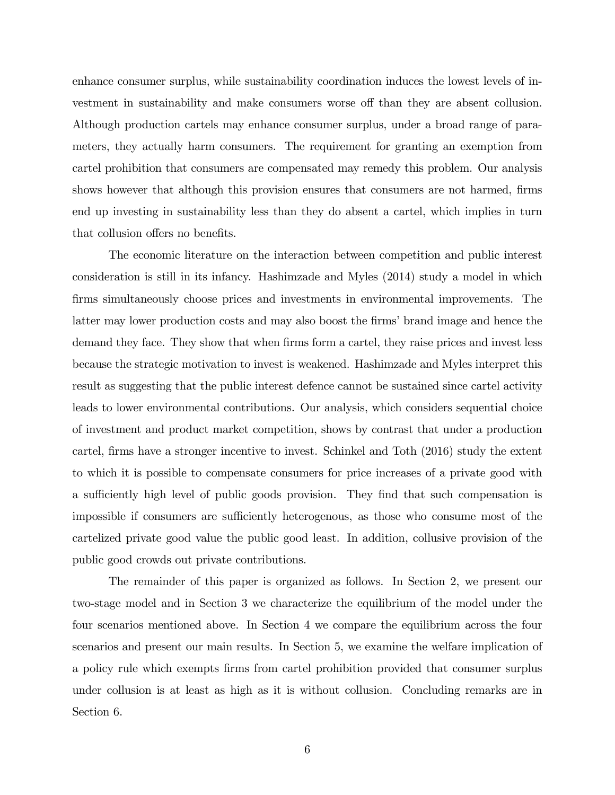enhance consumer surplus, while sustainability coordination induces the lowest levels of investment in sustainability and make consumers worse off than they are absent collusion. Although production cartels may enhance consumer surplus, under a broad range of parameters, they actually harm consumers. The requirement for granting an exemption from cartel prohibition that consumers are compensated may remedy this problem. Our analysis shows however that although this provision ensures that consumers are not harmed, firms end up investing in sustainability less than they do absent a cartel, which implies in turn that collusion offers no benefits.

The economic literature on the interaction between competition and public interest consideration is still in its infancy. Hashimzade and Myles (2014) study a model in which Örms simultaneously choose prices and investments in environmental improvements. The latter may lower production costs and may also boost the firms' brand image and hence the demand they face. They show that when firms form a cartel, they raise prices and invest less because the strategic motivation to invest is weakened. Hashimzade and Myles interpret this result as suggesting that the public interest defence cannot be sustained since cartel activity leads to lower environmental contributions. Our analysis, which considers sequential choice of investment and product market competition, shows by contrast that under a production cartel, firms have a stronger incentive to invest. Schinkel and Toth (2016) study the extent to which it is possible to compensate consumers for price increases of a private good with a sufficiently high level of public goods provision. They find that such compensation is impossible if consumers are sufficiently heterogenous, as those who consume most of the cartelized private good value the public good least. In addition, collusive provision of the public good crowds out private contributions.

The remainder of this paper is organized as follows. In Section 2, we present our two-stage model and in Section 3 we characterize the equilibrium of the model under the four scenarios mentioned above. In Section 4 we compare the equilibrium across the four scenarios and present our main results. In Section 5, we examine the welfare implication of a policy rule which exempts Örms from cartel prohibition provided that consumer surplus under collusion is at least as high as it is without collusion. Concluding remarks are in Section 6.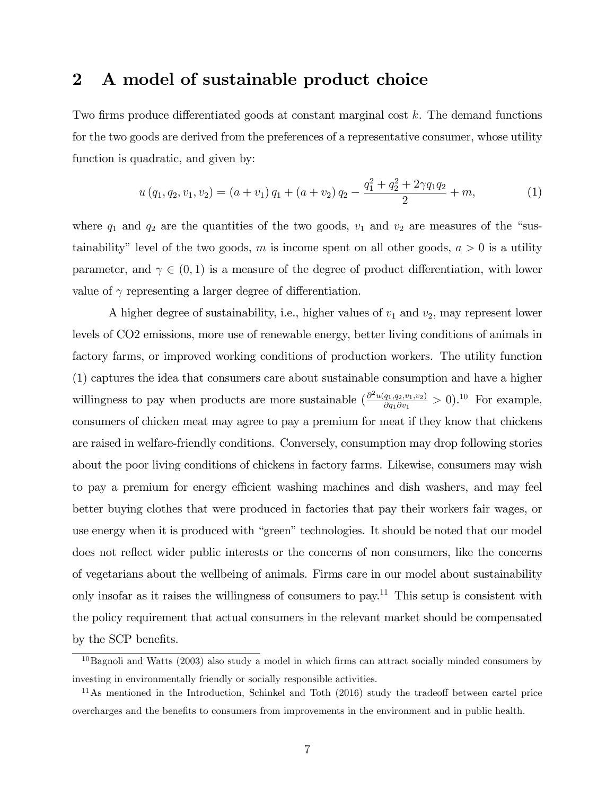### 2 A model of sustainable product choice

Two firms produce differentiated goods at constant marginal cost  $k$ . The demand functions for the two goods are derived from the preferences of a representative consumer, whose utility function is quadratic, and given by:

$$
u(q_1, q_2, v_1, v_2) = (a + v_1) q_1 + (a + v_2) q_2 - \frac{q_1^2 + q_2^2 + 2\gamma q_1 q_2}{2} + m,
$$
\n(1)

where  $q_1$  and  $q_2$  are the quantities of the two goods,  $v_1$  and  $v_2$  are measures of the "sustainability" level of the two goods, m is income spent on all other goods,  $a > 0$  is a utility parameter, and  $\gamma \in (0,1)$  is a measure of the degree of product differentiation, with lower value of  $\gamma$  representing a larger degree of differentiation.

A higher degree of sustainability, i.e., higher values of  $v_1$  and  $v_2$ , may represent lower levels of CO2 emissions, more use of renewable energy, better living conditions of animals in factory farms, or improved working conditions of production workers. The utility function (1) captures the idea that consumers care about sustainable consumption and have a higher willingness to pay when products are more sustainable  $\left(\frac{\partial^2 u(q_1,q_2,v_1,v_2)}{\partial q_1 \partial v_1}\right)$  $\frac{q_{1},q_{2},v_{1},v_{2})}{\partial q_{1}\partial v_{1}}>0$ ).<sup>10</sup> For example, consumers of chicken meat may agree to pay a premium for meat if they know that chickens are raised in welfare-friendly conditions. Conversely, consumption may drop following stories about the poor living conditions of chickens in factory farms. Likewise, consumers may wish to pay a premium for energy efficient washing machines and dish washers, and may feel better buying clothes that were produced in factories that pay their workers fair wages, or use energy when it is produced with "green" technologies. It should be noted that our model does not reflect wider public interests or the concerns of non consumers, like the concerns of vegetarians about the wellbeing of animals. Firms care in our model about sustainability only insofar as it raises the willingness of consumers to pay.<sup>11</sup> This setup is consistent with the policy requirement that actual consumers in the relevant market should be compensated by the SCP benefits.

 $10B$ agnoli and Watts (2003) also study a model in which firms can attract socially minded consumers by investing in environmentally friendly or socially responsible activities.

 $11$ As mentioned in the Introduction, Schinkel and Toth (2016) study the tradeoff between cartel price overcharges and the benefits to consumers from improvements in the environment and in public health.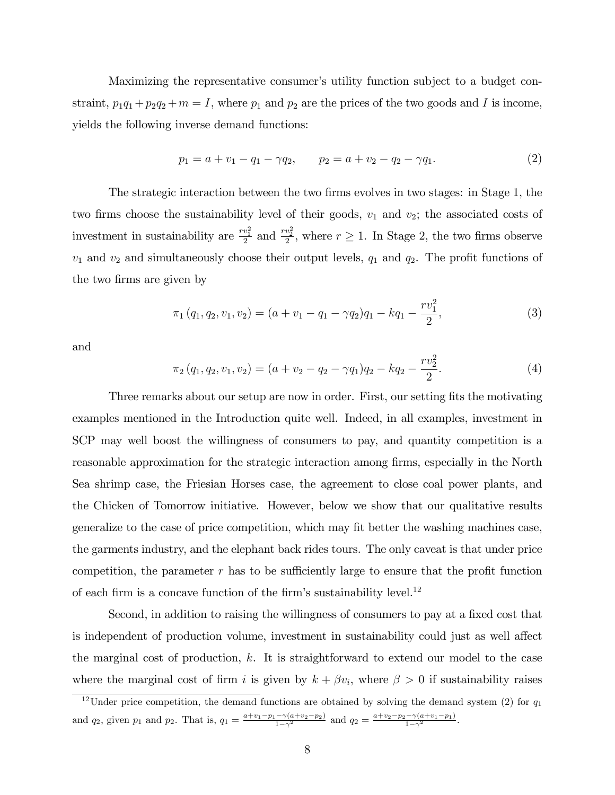Maximizing the representative consumer's utility function subject to a budget constraint,  $p_1q_1 + p_2q_2 + m = I$ , where  $p_1$  and  $p_2$  are the prices of the two goods and I is income, yields the following inverse demand functions:

$$
p_1 = a + v_1 - q_1 - \gamma q_2, \qquad p_2 = a + v_2 - q_2 - \gamma q_1. \tag{2}
$$

The strategic interaction between the two firms evolves in two stages: in Stage 1, the two firms choose the sustainability level of their goods,  $v_1$  and  $v_2$ ; the associated costs of investment in sustainability are  $\frac{rv_1^2}{2}$  and  $\frac{rv_2^2}{2}$ , where  $r \geq 1$ . In Stage 2, the two firms observe  $v_1$  and  $v_2$  and simultaneously choose their output levels,  $q_1$  and  $q_2$ . The profit functions of the two firms are given by

$$
\pi_1(q_1, q_2, v_1, v_2) = (a + v_1 - q_1 - \gamma q_2)q_1 - kq_1 - \frac{rv_1^2}{2},\tag{3}
$$

and

$$
\pi_2(q_1, q_2, v_1, v_2) = (a + v_2 - q_2 - \gamma q_1)q_2 - kq_2 - \frac{rv_2^2}{2}.
$$
\n(4)

Three remarks about our setup are now in order. First, our setting fits the motivating examples mentioned in the Introduction quite well. Indeed, in all examples, investment in SCP may well boost the willingness of consumers to pay, and quantity competition is a reasonable approximation for the strategic interaction among firms, especially in the North Sea shrimp case, the Friesian Horses case, the agreement to close coal power plants, and the Chicken of Tomorrow initiative. However, below we show that our qualitative results generalize to the case of price competition, which may fit better the washing machines case, the garments industry, and the elephant back rides tours. The only caveat is that under price competition, the parameter  $r$  has to be sufficiently large to ensure that the profit function of each firm is a concave function of the firm's sustainability level.<sup>12</sup>

Second, in addition to raising the willingness of consumers to pay at a fixed cost that is independent of production volume, investment in sustainability could just as well affect the marginal cost of production,  $k$ . It is straightforward to extend our model to the case where the marginal cost of firm i is given by  $k + \beta v_i$ , where  $\beta > 0$  if sustainability raises

<sup>&</sup>lt;sup>12</sup>Under price competition, the demand functions are obtained by solving the demand system (2) for  $q_1$ and  $q_2$ , given  $p_1$  and  $p_2$ . That is,  $q_1 = \frac{a+v_1-p_1-\gamma(a+v_2-p_2)}{1-\gamma^2}$  and  $q_2 = \frac{a+v_2-p_2-\gamma(a+v_1-p_1)}{1-\gamma^2}$ .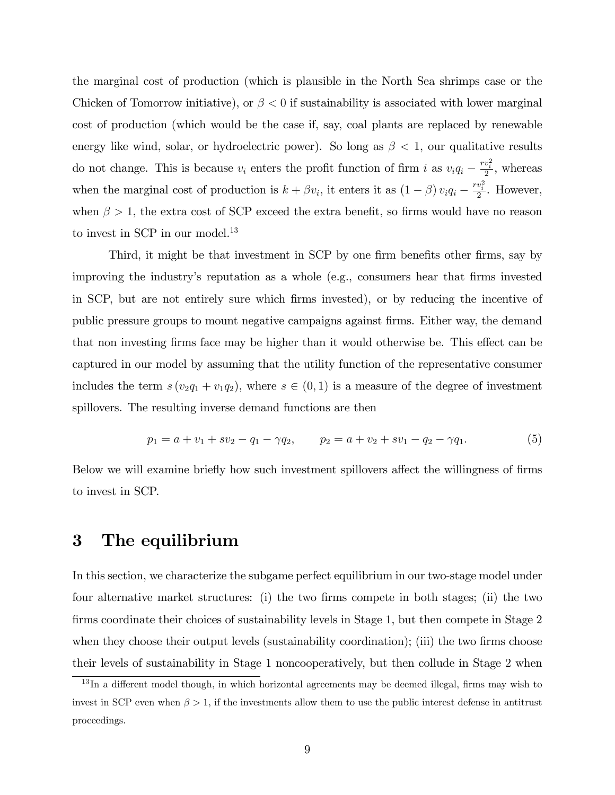the marginal cost of production (which is plausible in the North Sea shrimps case or the Chicken of Tomorrow initiative), or  $\beta < 0$  if sustainability is associated with lower marginal cost of production (which would be the case if, say, coal plants are replaced by renewable energy like wind, solar, or hydroelectric power). So long as  $\beta < 1$ , our qualitative results do not change. This is because  $v_i$  enters the profit function of firm i as  $v_i q_i - \frac{rv_i^2}{2}$ , whereas when the marginal cost of production is  $k + \beta v_i$ , it enters it as  $(1 - \beta) v_i q_i - \frac{rv_i^2}{2}$ . However, when  $\beta > 1$ , the extra cost of SCP exceed the extra benefit, so firms would have no reason to invest in SCP in our model.<sup>13</sup>

Third, it might be that investment in SCP by one firm benefits other firms, say by improving the industry's reputation as a whole (e.g., consumers hear that firms invested in SCP, but are not entirely sure which Örms invested), or by reducing the incentive of public pressure groups to mount negative campaigns against Örms. Either way, the demand that non investing firms face may be higher than it would otherwise be. This effect can be captured in our model by assuming that the utility function of the representative consumer includes the term  $s(v_2q_1 + v_1q_2)$ , where  $s \in (0, 1)$  is a measure of the degree of investment spillovers. The resulting inverse demand functions are then

$$
p_1 = a + v_1 + sv_2 - q_1 - \gamma q_2, \qquad p_2 = a + v_2 + sv_1 - q_2 - \gamma q_1. \tag{5}
$$

Below we will examine briefly how such investment spillovers affect the willingness of firms to invest in SCP.

## 3 The equilibrium

In this section, we characterize the subgame perfect equilibrium in our two-stage model under four alternative market structures: (i) the two firms compete in both stages; (ii) the two firms coordinate their choices of sustainability levels in Stage 1, but then compete in Stage 2 when they choose their output levels (sustainability coordination); (iii) the two firms choose their levels of sustainability in Stage 1 noncooperatively, but then collude in Stage 2 when

 $13$  In a different model though, in which horizontal agreements may be deemed illegal, firms may wish to invest in SCP even when  $\beta > 1$ , if the investments allow them to use the public interest defense in antitrust proceedings.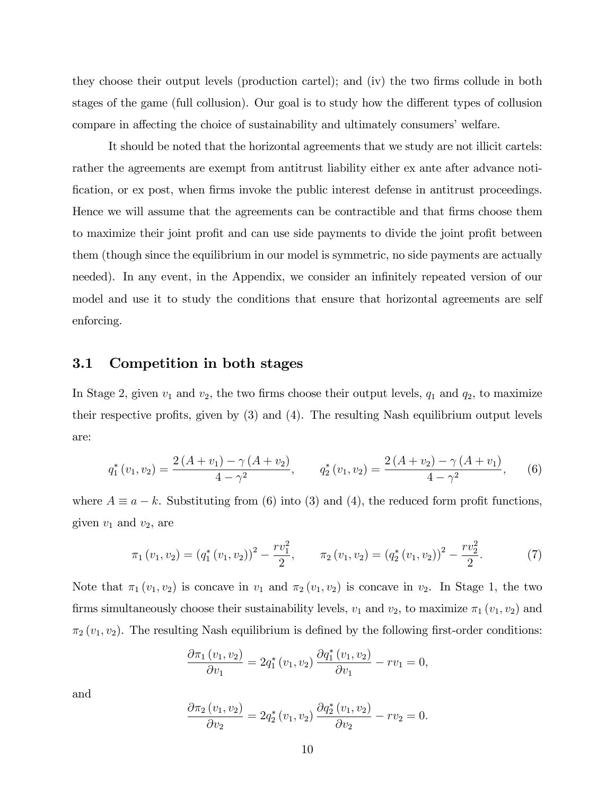they choose their output levels (production cartel); and (iv) the two Örms collude in both stages of the game (full collusion). Our goal is to study how the different types of collusion compare in affecting the choice of sustainability and ultimately consumers' welfare.

It should be noted that the horizontal agreements that we study are not illicit cartels: rather the agreements are exempt from antitrust liability either ex ante after advance notification, or ex post, when firms invoke the public interest defense in antitrust proceedings. Hence we will assume that the agreements can be contractible and that firms choose them to maximize their joint profit and can use side payments to divide the joint profit between them (though since the equilibrium in our model is symmetric, no side payments are actually needed). In any event, in the Appendix, we consider an infinitely repeated version of our model and use it to study the conditions that ensure that horizontal agreements are self enforcing.

#### 3.1 Competition in both stages

In Stage 2, given  $v_1$  and  $v_2$ , the two firms choose their output levels,  $q_1$  and  $q_2$ , to maximize their respective profits, given by  $(3)$  and  $(4)$ . The resulting Nash equilibrium output levels are:

$$
q_1^*(v_1, v_2) = \frac{2\left(A + v_1\right) - \gamma\left(A + v_2\right)}{4 - \gamma^2}, \qquad q_2^*(v_1, v_2) = \frac{2\left(A + v_2\right) - \gamma\left(A + v_1\right)}{4 - \gamma^2}, \qquad (6)
$$

where  $A \equiv a - k$ . Substituting from (6) into (3) and (4), the reduced form profit functions, given  $v_1$  and  $v_2$ , are

$$
\pi_1(v_1, v_2) = (q_1^*(v_1, v_2))^2 - \frac{rv_1^2}{2}, \qquad \pi_2(v_1, v_2) = (q_2^*(v_1, v_2))^2 - \frac{rv_2^2}{2}.
$$
 (7)

Note that  $\pi_1(v_1, v_2)$  is concave in  $v_1$  and  $\pi_2(v_1, v_2)$  is concave in  $v_2$ . In Stage 1, the two firms simultaneously choose their sustainability levels,  $v_1$  and  $v_2$ , to maximize  $\pi_1$  ( $v_1, v_2$ ) and  $\pi_2(v_1, v_2)$ . The resulting Nash equilibrium is defined by the following first-order conditions:

$$
\frac{\partial \pi_1(v_1, v_2)}{\partial v_1} = 2q_1^*(v_1, v_2) \frac{\partial q_1^*(v_1, v_2)}{\partial v_1} - rv_1 = 0,
$$

and

$$
\frac{\partial \pi_2(v_1, v_2)}{\partial v_2} = 2q_2^*(v_1, v_2) \frac{\partial q_2^*(v_1, v_2)}{\partial v_2} - rv_2 = 0.
$$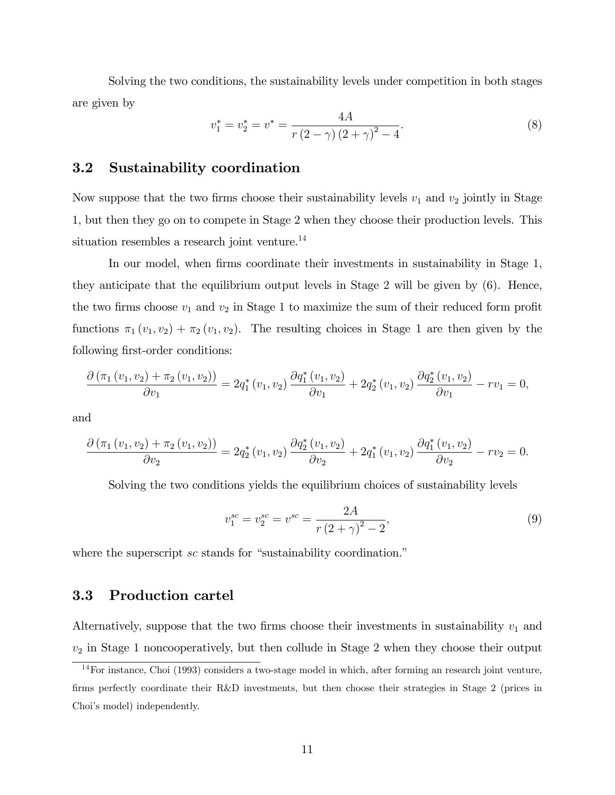Solving the two conditions, the sustainability levels under competition in both stages are given by

$$
v_1^* = v_2^* = v^* = \frac{4A}{r(2-\gamma)(2+\gamma)^2 - 4}.
$$
\n(8)

#### 3.2 Sustainability coordination

Now suppose that the two firms choose their sustainability levels  $v_1$  and  $v_2$  jointly in Stage 1, but then they go on to compete in Stage 2 when they choose their production levels. This situation resembles a research joint venture.<sup>14</sup>

In our model, when firms coordinate their investments in sustainability in Stage 1, they anticipate that the equilibrium output levels in Stage 2 will be given by (6). Hence, the two firms choose  $v_1$  and  $v_2$  in Stage 1 to maximize the sum of their reduced form profit functions  $\pi_1 (v_1, v_2) + \pi_2 (v_1, v_2)$ . The resulting choices in Stage 1 are then given by the following first-order conditions:

$$
\frac{\partial (\pi_1(v_1, v_2) + \pi_2(v_1, v_2))}{\partial v_1} = 2q_1^*(v_1, v_2) \frac{\partial q_1^*(v_1, v_2)}{\partial v_1} + 2q_2^*(v_1, v_2) \frac{\partial q_2^*(v_1, v_2)}{\partial v_1} - rv_1 = 0,
$$

and

$$
\frac{\partial (\pi_1(v_1, v_2) + \pi_2(v_1, v_2))}{\partial v_2} = 2q_2^*(v_1, v_2) \frac{\partial q_2^*(v_1, v_2)}{\partial v_2} + 2q_1^*(v_1, v_2) \frac{\partial q_1^*(v_1, v_2)}{\partial v_2} - rv_2 = 0.
$$

Solving the two conditions yields the equilibrium choices of sustainability levels

$$
v_1^{sc} = v_2^{sc} = v^{sc} = \frac{2A}{r(2+\gamma)^2 - 2},\tag{9}
$$

where the superscript  $sc$  stands for "sustainability coordination."

#### 3.3 Production cartel

Alternatively, suppose that the two firms choose their investments in sustainability  $v_1$  and  $v_2$  in Stage 1 noncooperatively, but then collude in Stage 2 when they choose their output

<sup>14</sup>For instance, Choi (1993) considers a two-stage model in which, after forming an research joint venture, firms perfectly coordinate their R&D investments, but then choose their strategies in Stage 2 (prices in Choi's model) independently.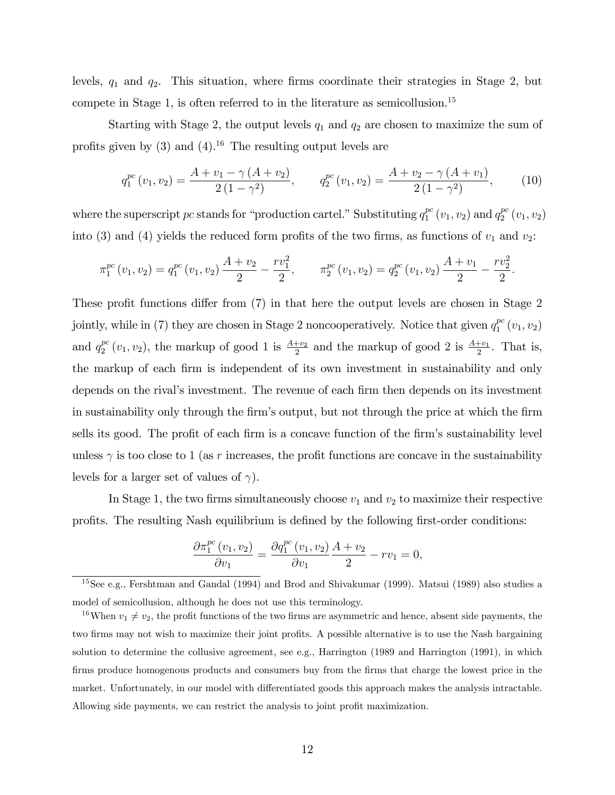levels,  $q_1$  and  $q_2$ . This situation, where firms coordinate their strategies in Stage 2, but compete in Stage 1, is often referred to in the literature as semicollusion.<sup>15</sup>

Starting with Stage 2, the output levels  $q_1$  and  $q_2$  are chosen to maximize the sum of profits given by  $(3)$  and  $(4)$ .<sup>16</sup> The resulting output levels are

$$
q_1^{pc}(v_1, v_2) = \frac{A + v_1 - \gamma (A + v_2)}{2 (1 - \gamma^2)}, \qquad q_2^{pc}(v_1, v_2) = \frac{A + v_2 - \gamma (A + v_1)}{2 (1 - \gamma^2)}, \tag{10}
$$

:

where the superscript pc stands for "production cartel." Substituting  $q_1^{pc}$  $j_1^{pc}(v_1, v_2)$  and  $q_2^{pc}$  $_{2}^{pc}\left( v_{1},v_{2}\right)$ into (3) and (4) yields the reduced form profits of the two firms, as functions of  $v_1$  and  $v_2$ :

$$
\pi_1^{pc}(v_1, v_2) = q_1^{pc}(v_1, v_2) \frac{A + v_2}{2} - \frac{rv_1^2}{2}, \qquad \pi_2^{pc}(v_1, v_2) = q_2^{pc}(v_1, v_2) \frac{A + v_1}{2} - \frac{rv_2^2}{2}
$$

These profit functions differ from  $(7)$  in that here the output levels are chosen in Stage 2 jointly, while in (7) they are chosen in Stage 2 noncooperatively. Notice that given  $q_1^{pc}$  $_{1}^{pc}(v_{1},v_{2})$ and  $q_2^{pc}$  $_2^{pc}(v_1, v_2)$ , the markup of good 1 is  $\frac{A+v_2}{2}$  and the markup of good 2 is  $\frac{A+v_1}{2}$ . That is, the markup of each firm is independent of its own investment in sustainability and only depends on the rival's investment. The revenue of each firm then depends on its investment in sustainability only through the firm's output, but not through the price at which the firm sells its good. The profit of each firm is a concave function of the firm's sustainability level unless  $\gamma$  is too close to 1 (as r increases, the profit functions are concave in the sustainability levels for a larger set of values of  $\gamma$ ).

In Stage 1, the two firms simultaneously choose  $v_1$  and  $v_2$  to maximize their respective profits. The resulting Nash equilibrium is defined by the following first-order conditions:

$$
\frac{\partial \pi_1^{pc}(v_1, v_2)}{\partial v_1} = \frac{\partial q_1^{pc}(v_1, v_2)}{\partial v_1} \frac{A + v_2}{2} - rv_1 = 0,
$$

<sup>&</sup>lt;sup>15</sup>See e.g., Fershtman and Gandal (1994) and Brod and Shivakumar (1999). Matsui (1989) also studies a model of semicollusion, although he does not use this terminology.

<sup>&</sup>lt;sup>16</sup>When  $v_1 \neq v_2$ , the profit functions of the two firms are asymmetric and hence, absent side payments, the two firms may not wish to maximize their joint profits. A possible alternative is to use the Nash bargaining solution to determine the collusive agreement, see e.g., Harrington (1989 and Harrington (1991), in which firms produce homogenous products and consumers buy from the firms that charge the lowest price in the market. Unfortunately, in our model with differentiated goods this approach makes the analysis intractable. Allowing side payments, we can restrict the analysis to joint profit maximization.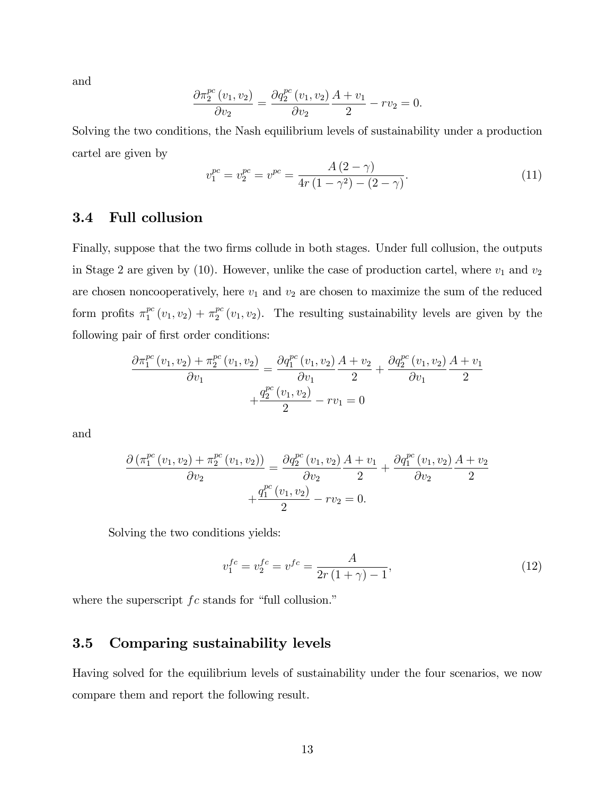and

$$
\frac{\partial \pi_2^{pc}(v_1, v_2)}{\partial v_2} = \frac{\partial q_2^{pc}(v_1, v_2)}{\partial v_2} \frac{A + v_1}{2} - rv_2 = 0.
$$

Solving the two conditions, the Nash equilibrium levels of sustainability under a production cartel are given by

$$
v_1^{pc} = v_2^{pc} = v^{pc} = \frac{A(2-\gamma)}{4r(1-\gamma^2) - (2-\gamma)}.
$$
\n(11)

#### 3.4 Full collusion

Finally, suppose that the two firms collude in both stages. Under full collusion, the outputs in Stage 2 are given by (10). However, unlike the case of production cartel, where  $v_1$  and  $v_2$ are chosen noncooperatively, here  $v_1$  and  $v_2$  are chosen to maximize the sum of the reduced form profits  $\pi_1^{pc}$  $_1^{pc}(v_1, v_2) + \pi_2^{pc}$  $_2^{pc}(v_1, v_2)$ . The resulting sustainability levels are given by the following pair of first order conditions:

$$
\frac{\partial \pi_1^{pc}(v_1, v_2) + \pi_2^{pc}(v_1, v_2)}{\partial v_1} = \frac{\partial q_1^{pc}(v_1, v_2)}{\partial v_1} \frac{A + v_2}{2} + \frac{\partial q_2^{pc}(v_1, v_2)}{\partial v_1} \frac{A + v_1}{2} + \frac{q_2^{pc}(v_1, v_2)}{2} - rv_1 = 0
$$

and

$$
\frac{\partial (\pi_1^{pc}(v_1, v_2) + \pi_2^{pc}(v_1, v_2))}{\partial v_2} = \frac{\partial q_2^{pc}(v_1, v_2)}{\partial v_2} \frac{A + v_1}{2} + \frac{\partial q_1^{pc}(v_1, v_2)}{\partial v_2} \frac{A + v_2}{2} + \frac{q_1^{pc}(v_1, v_2)}{2} - rv_2 = 0.
$$

Solving the two conditions yields:

$$
v_1^{fc} = v_2^{fc} = v^{fc} = \frac{A}{2r(1+\gamma) - 1},\tag{12}
$$

where the superscript  $fc$  stands for "full collusion."

#### 3.5 Comparing sustainability levels

Having solved for the equilibrium levels of sustainability under the four scenarios, we now compare them and report the following result.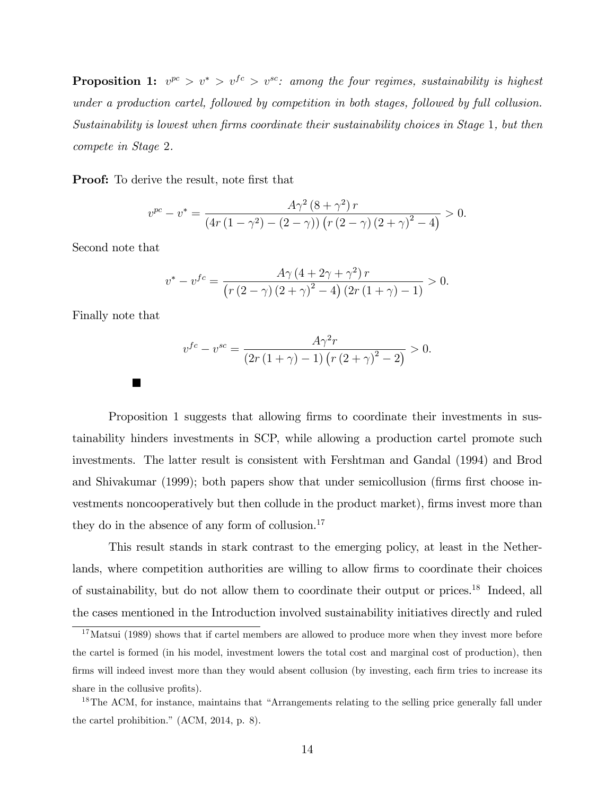**Proposition 1:**  $v^{pc} > v^* > v^{fc} > v^{sc}$ : among the four regimes, sustainability is highest under a production cartel, followed by competition in both stages, followed by full collusion. Sustainability is lowest when firms coordinate their sustainability choices in Stage 1, but then compete in Stage 2.

**Proof:** To derive the result, note first that

$$
v^{pc} - v^* = \frac{A\gamma^2 (8 + \gamma^2) r}{(4r(1 - \gamma^2) - (2 - \gamma)) (r(2 - \gamma) (2 + \gamma)^2 - 4)} > 0.
$$

Second note that

$$
v^* - v^{fc} = \frac{A\gamma (4 + 2\gamma + \gamma^2) r}{(r (2 - \gamma) (2 + \gamma)^2 - 4) (2r (1 + \gamma) - 1)} > 0.
$$

Finally note that

 $\blacksquare$ 

$$
v^{fc} - v^{sc} = \frac{A\gamma^2 r}{(2r(1+\gamma) - 1)\left(r(2+\gamma)^2 - 2\right)} > 0.
$$

Proposition 1 suggests that allowing firms to coordinate their investments in sustainability hinders investments in SCP, while allowing a production cartel promote such investments. The latter result is consistent with Fershtman and Gandal (1994) and Brod and Shivakumar  $(1999)$ ; both papers show that under semicollusion (firms first choose investments noncooperatively but then collude in the product market), firms invest more than they do in the absence of any form of collusion.<sup>17</sup>

This result stands in stark contrast to the emerging policy, at least in the Netherlands, where competition authorities are willing to allow firms to coordinate their choices of sustainability, but do not allow them to coordinate their output or prices.<sup>18</sup> Indeed, all the cases mentioned in the Introduction involved sustainability initiatives directly and ruled

<sup>&</sup>lt;sup>17</sup>Matsui (1989) shows that if cartel members are allowed to produce more when they invest more before the cartel is formed (in his model, investment lowers the total cost and marginal cost of production), then firms will indeed invest more than they would absent collusion (by investing, each firm tries to increase its share in the collusive profits).

 $18$ The ACM, for instance, maintains that "Arrangements relating to the selling price generally fall under the cartel prohibition."  $(ACM, 2014, p. 8)$ .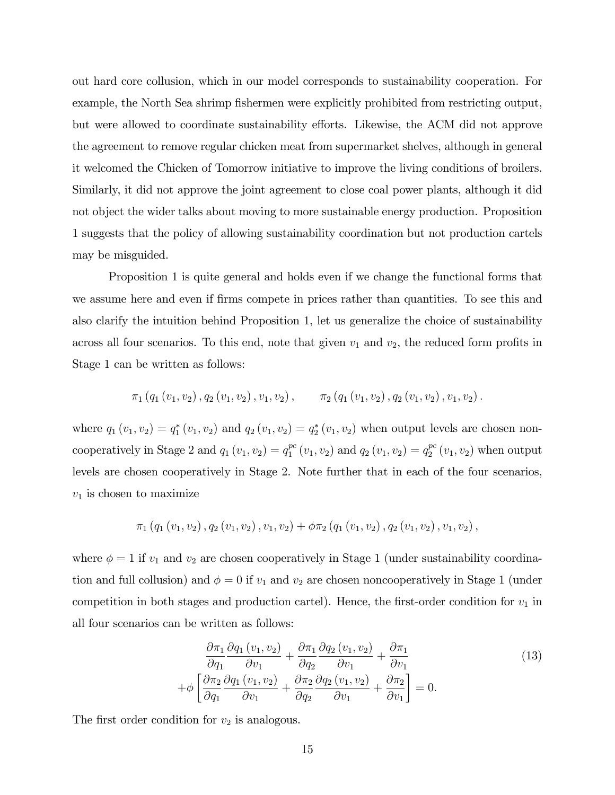out hard core collusion, which in our model corresponds to sustainability cooperation. For example, the North Sea shrimp fishermen were explicitly prohibited from restricting output, but were allowed to coordinate sustainability efforts. Likewise, the ACM did not approve the agreement to remove regular chicken meat from supermarket shelves, although in general it welcomed the Chicken of Tomorrow initiative to improve the living conditions of broilers. Similarly, it did not approve the joint agreement to close coal power plants, although it did not object the wider talks about moving to more sustainable energy production. Proposition 1 suggests that the policy of allowing sustainability coordination but not production cartels may be misguided.

Proposition 1 is quite general and holds even if we change the functional forms that we assume here and even if firms compete in prices rather than quantities. To see this and also clarify the intuition behind Proposition 1, let us generalize the choice of sustainability across all four scenarios. To this end, note that given  $v_1$  and  $v_2$ , the reduced form profits in Stage 1 can be written as follows:

$$
\pi_1(q_1(v_1, v_2), q_2(v_1, v_2), v_1, v_2), \qquad \pi_2(q_1(v_1, v_2), q_2(v_1, v_2), v_1, v_2).
$$

where  $q_1(v_1, v_2) = q_1^*(v_1, v_2)$  and  $q_2(v_1, v_2) = q_2^*(v_1, v_2)$  when output levels are chosen noncooperatively in Stage 2 and  $q_1(v_1, v_2) = q_1^{pc}$  $_1^{pc}(v_1, v_2)$  and  $q_2(v_1, v_2) = q_2^{pc}$  $_2^{pc}(v_1,v_2)$  when output levels are chosen cooperatively in Stage 2. Note further that in each of the four scenarios,  $v_1$  is chosen to maximize

$$
\pi_1(q_1(v_1, v_2), q_2(v_1, v_2), v_1, v_2) + \phi \pi_2(q_1(v_1, v_2), q_2(v_1, v_2), v_1, v_2),
$$

where  $\phi = 1$  if  $v_1$  and  $v_2$  are chosen cooperatively in Stage 1 (under sustainability coordination and full collusion) and  $\phi = 0$  if  $v_1$  and  $v_2$  are chosen noncooperatively in Stage 1 (under competition in both stages and production cartel). Hence, the first-order condition for  $v_1$  in all four scenarios can be written as follows:

$$
\frac{\partial \pi_1}{\partial q_1} \frac{\partial q_1 (v_1, v_2)}{\partial v_1} + \frac{\partial \pi_1}{\partial q_2} \frac{\partial q_2 (v_1, v_2)}{\partial v_1} + \frac{\partial \pi_1}{\partial v_1} \n+ \phi \left[ \frac{\partial \pi_2}{\partial q_1} \frac{\partial q_1 (v_1, v_2)}{\partial v_1} + \frac{\partial \pi_2}{\partial q_2} \frac{\partial q_2 (v_1, v_2)}{\partial v_1} + \frac{\partial \pi_2}{\partial v_1} \right] = 0.
$$
\n(13)

The first order condition for  $v_2$  is analogous.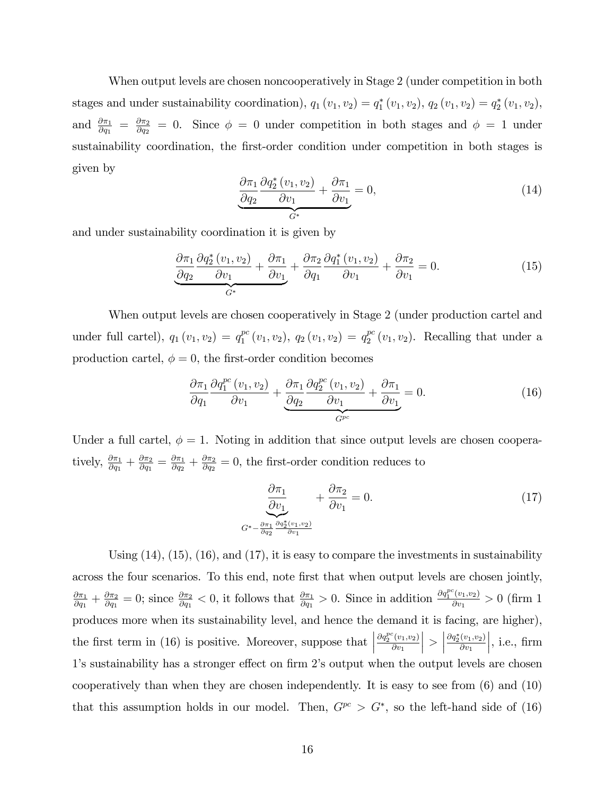When output levels are chosen noncooperatively in Stage 2 (under competition in both stages and under sustainability coordination),  $q_1(v_1, v_2) = q_1^*(v_1, v_2)$ ,  $q_2(v_1, v_2) = q_2^*(v_1, v_2)$ , and  $\frac{\partial \pi_1}{\partial q_1} = \frac{\partial \pi_2}{\partial q_2}$  $\frac{\partial \pi_2}{\partial q_2} = 0$ . Since  $\phi = 0$  under competition in both stages and  $\phi = 1$  under sustainability coordination, the first-order condition under competition in both stages is given by

$$
\frac{\partial \pi_1}{\partial q_2} \frac{\partial q_2^*(v_1, v_2)}{\partial v_1} + \frac{\partial \pi_1}{\partial v_1} = 0,
$$
\n(14)

and under sustainability coordination it is given by

$$
\frac{\partial \pi_1}{\partial q_2} \frac{\partial q_2^*(v_1, v_2)}{\partial v_1} + \frac{\partial \pi_1}{\partial v_1} + \frac{\partial \pi_2}{\partial q_1} \frac{\partial q_1^*(v_1, v_2)}{\partial v_1} + \frac{\partial \pi_2}{\partial v_1} = 0.
$$
\n(15)

When output levels are chosen cooperatively in Stage 2 (under production cartel and under full cartel),  $q_1(v_1, v_2) = q_1^{pc}$  $_1^{pc}(v_1, v_2), q_2(v_1, v_2) = q_2^{pc}$  $_2^{pc}(v_1, v_2)$ . Recalling that under a production cartel,  $\phi = 0$ , the first-order condition becomes

$$
\frac{\partial \pi_1}{\partial q_1} \frac{\partial q_1^{pc} (v_1, v_2)}{\partial v_1} + \underbrace{\frac{\partial \pi_1}{\partial q_2} \frac{\partial q_2^{pc} (v_1, v_2)}{\partial v_1}}_{G^{pc}} + \underbrace{\frac{\partial \pi_1}{\partial v_1}}_{G^{pc}} = 0.
$$
\n(16)

Under a full cartel,  $\phi = 1$ . Noting in addition that since output levels are chosen cooperatively,  $\frac{\partial \pi_1}{\partial q_1} + \frac{\partial \pi_2}{\partial q_1}$  $\frac{\partial \pi_2}{\partial q_1} = \frac{\partial \pi_1}{\partial q_2}$  $\frac{\partial \pi_1}{\partial q_2} + \frac{\partial \pi_2}{\partial q_2}$  $\frac{\partial \pi_2}{\partial q_2} = 0$ , the first-order condition reduces to

$$
\frac{\partial \pi_1}{\partial v_1} + \frac{\partial \pi_2}{\partial v_1} = 0.
$$
\n
$$
G^* - \frac{\partial \pi_1}{\partial q_2} \frac{\partial q_2^*(v_1, v_2)}{\partial v_1}
$$
\n(17)

Using  $(14)$ ,  $(15)$ ,  $(16)$ , and  $(17)$ , it is easy to compare the investments in sustainability across the four scenarios. To this end, note first that when output levels are chosen jointly,  $\partial\pi_1$  $\frac{\partial \pi_1}{\partial q_1} + \frac{\partial \pi_2}{\partial q_1}$  $\frac{\partial \pi_2}{\partial q_1} = 0$ ; since  $\frac{\partial \pi_2}{\partial q_1} < 0$ , it follows that  $\frac{\partial \pi_1}{\partial q_1} > 0$ . Since in addition  $\frac{\partial q_1^{pc}(v_1, v_2)}{\partial v_1}$  $\frac{(v_1,v_2)}{\partial v_1} > 0$  (firm 1) produces more when its sustainability level, and hence the demand it is facing, are higher), the first term in (16) is positive. Moreover, suppose that  $\vert$  $\partial q_2^{pc}(v_1,v_2)$  $\partial v_1$  $\vert$  >  $\vert$  $\partial q_{2}^{*}(v_{1},v_{2})$  $\partial v_1$  $\Big\vert$ , i.e., firm 1's sustainability has a stronger effect on firm 2's output when the output levels are chosen cooperatively than when they are chosen independently. It is easy to see from (6) and (10) that this assumption holds in our model. Then,  $G^{pc} > G^*$ , so the left-hand side of (16)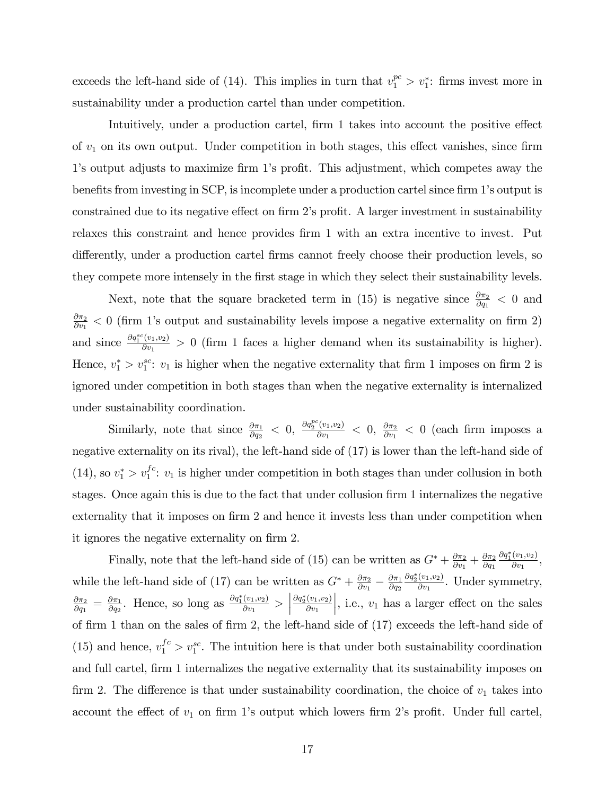exceeds the left-hand side of (14). This implies in turn that  $v_1^{pc} > v_1^*$ : firms invest more in sustainability under a production cartel than under competition.

Intuitively, under a production cartel, firm 1 takes into account the positive effect of  $v_1$  on its own output. Under competition in both stages, this effect vanishes, since firm 1's output adjusts to maximize firm 1's profit. This adjustment, which competes away the benefits from investing in SCP, is incomplete under a production cartel since firm 1's output is constrained due to its negative effect on firm 2's profit. A larger investment in sustainability relaxes this constraint and hence provides firm 1 with an extra incentive to invest. Put differently, under a production cartel firms cannot freely choose their production levels, so they compete more intensely in the Örst stage in which they select their sustainability levels.

Next, note that the square bracketed term in (15) is negative since  $\frac{\partial \pi_2}{\partial q_1} < 0$  and  $\partial \pi_2$  $\frac{\partial \pi_2}{\partial v_1}$  < 0 (firm 1's output and sustainability levels impose a negative externality on firm 2) and since  $\frac{\partial q_1^{sc}(v_1,v_2)}{\partial v_1}$  $\frac{v_{1},v_{2}}{\partial v_{1}}>0$  (firm 1 faces a higher demand when its sustainability is higher). Hence,  $v_1^* > v_1^{sc}$ :  $v_1$  is higher when the negative externality that firm 1 imposes on firm 2 is ignored under competition in both stages than when the negative externality is internalized under sustainability coordination.

Similarly, note that since  $\frac{\partial \pi_1}{\partial q_2} < 0$ ,  $\frac{\partial q_2^{pc}(v_1, v_2)}{\partial v_1}$  $\frac{\partial^2 (v_1, v_2)}{\partial v_1} < 0, \frac{\partial \pi_2}{\partial v_1}$  $\frac{\partial \pi_2}{\partial v_1} < 0$  (each firm imposes a negative externality on its rival), the left-hand side of (17) is lower than the left-hand side of (14), so  $v_1^* > v_1^{fc}$ :  $v_1$  is higher under competition in both stages than under collusion in both stages. Once again this is due to the fact that under collusion firm 1 internalizes the negative externality that it imposes on firm 2 and hence it invests less than under competition when it ignores the negative externality on firm 2.

Finally, note that the left-hand side of (15) can be written as  $G^* + \frac{\partial \pi_2}{\partial w}$  $\frac{\partial \pi_2}{\partial v_1} + \frac{\partial \pi_2}{\partial q_1}$  $\partial q_1$  $\partial q_1^*(v_1,v_2)$  $\frac{(v_1,v_2)}{\partial v_1},$ while the left-hand side of (17) can be written as  $G^* + \frac{\partial \pi_2}{\partial w}$  $\frac{\partial \pi_2}{\partial v_1} - \frac{\partial \pi_1}{\partial q_2}$  $\partial q_2$  $\partial q_{2}^{*}(v_{1},v_{2})$  $\frac{(v_1, v_2)}{\partial v_1}$ . Under symmetry,  $\partial \pi_2$  $\frac{\partial \pi_2}{\partial q_1} = \frac{\partial \pi_1}{\partial q_2}$  $\frac{\partial \pi_1}{\partial q_2}$ . Hence, so long as  $\frac{\partial q_1^*(v_1, v_2)}{\partial v_1}$  $\frac{(v_1,v_2)}{\partial v_1} >$  $\partial q_2^*(v_1,v_2)$  $\partial v_1$ , i.e.,  $v_1$  has a larger effect on the sales of firm 1 than on the sales of firm 2, the left-hand side of  $(17)$  exceeds the left-hand side of (15) and hence,  $v_1^{fc} > v_1^{sc}$ . The intuition here is that under both sustainability coordination and full cartel, firm 1 internalizes the negative externality that its sustainability imposes on firm 2. The difference is that under sustainability coordination, the choice of  $v_1$  takes into account the effect of  $v_1$  on firm 1's output which lowers firm 2's profit. Under full cartel,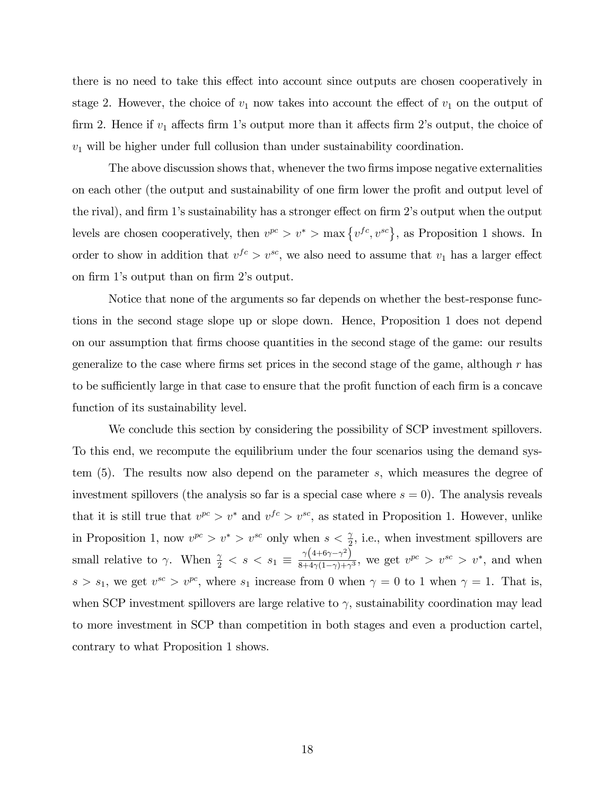there is no need to take this effect into account since outputs are chosen cooperatively in stage 2. However, the choice of  $v_1$  now takes into account the effect of  $v_1$  on the output of firm 2. Hence if  $v_1$  affects firm 1's output more than it affects firm 2's output, the choice of  $v_1$  will be higher under full collusion than under sustainability coordination.

The above discussion shows that, whenever the two firms impose negative externalities on each other (the output and sustainability of one firm lower the profit and output level of the rival), and firm 1's sustainability has a stronger effect on firm 2's output when the output levels are chosen cooperatively, then  $v^{pc} > v^* > \max\{v^{fc}, v^{sc}\}\$ , as Proposition 1 shows. In order to show in addition that  $v^{fc} > v^{sc}$ , we also need to assume that  $v_1$  has a larger effect on firm 1's output than on firm 2's output.

Notice that none of the arguments so far depends on whether the best-response functions in the second stage slope up or slope down. Hence, Proposition 1 does not depend on our assumption that Örms choose quantities in the second stage of the game: our results generalize to the case where firms set prices in the second stage of the game, although  $r$  has to be sufficiently large in that case to ensure that the profit function of each firm is a concave function of its sustainability level.

We conclude this section by considering the possibility of SCP investment spillovers. To this end, we recompute the equilibrium under the four scenarios using the demand system (5). The results now also depend on the parameter s, which measures the degree of investment spillovers (the analysis so far is a special case where  $s = 0$ ). The analysis reveals that it is still true that  $v^{pc} > v^*$  and  $v^{fc} > v^{sc}$ , as stated in Proposition 1. However, unlike in Proposition 1, now  $v^{pc} > v^* > v^{sc}$  only when  $s < \frac{\gamma}{2}$ , i.e., when investment spillovers are small relative to  $\gamma$ . When  $\frac{\gamma}{2} < s < s_1 \equiv \frac{\gamma (4+6\gamma-\gamma^2)}{8+4\gamma(1-\gamma)+\gamma}$  $\frac{\gamma(4+6\gamma-\gamma)}{8+4\gamma(1-\gamma)+\gamma^3}$ , we get  $v^{pc} > v^{sc} > v^*$ , and when  $s > s_1$ , we get  $v^{sc} > v^{pc}$ , where  $s_1$  increase from 0 when  $\gamma = 0$  to 1 when  $\gamma = 1$ . That is, when SCP investment spillovers are large relative to  $\gamma$ , sustainability coordination may lead to more investment in SCP than competition in both stages and even a production cartel, contrary to what Proposition 1 shows.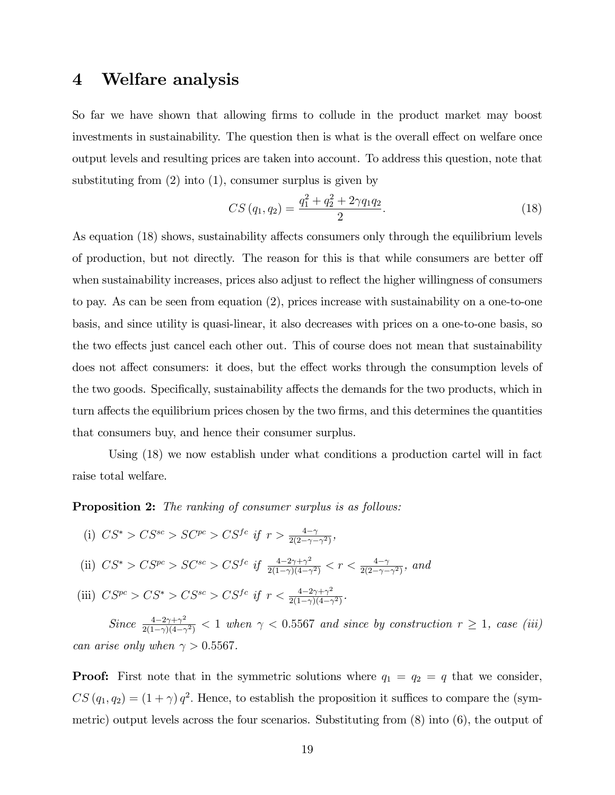## 4 Welfare analysis

So far we have shown that allowing firms to collude in the product market may boost investments in sustainability. The question then is what is the overall effect on welfare once output levels and resulting prices are taken into account. To address this question, note that substituting from (2) into (1), consumer surplus is given by

$$
CS(q_1, q_2) = \frac{q_1^2 + q_2^2 + 2\gamma q_1 q_2}{2}.
$$
\n(18)

As equation (18) shows, sustainability affects consumers only through the equilibrium levels of production, but not directly. The reason for this is that while consumers are better off when sustainability increases, prices also adjust to reflect the higher willingness of consumers to pay. As can be seen from equation (2), prices increase with sustainability on a one-to-one basis, and since utility is quasi-linear, it also decreases with prices on a one-to-one basis, so the two effects just cancel each other out. This of course does not mean that sustainability does not affect consumers: it does, but the effect works through the consumption levels of the two goods. Specifically, sustainability affects the demands for the two products, which in turn affects the equilibrium prices chosen by the two firms, and this determines the quantities that consumers buy, and hence their consumer surplus.

Using (18) we now establish under what conditions a production cartel will in fact raise total welfare.

**Proposition 2:** The ranking of consumer surplus is as follows:

- (i)  $CS^* > CS^{sc} > SC^{pc} > CS^{fc}$  if  $r > \frac{4-\gamma}{2(2-\gamma-\gamma^2)}$ ,
- (ii)  $CS^* > CS^{pc} > SC^{sc} > CS^{fc}$  if  $\frac{4-2\gamma+\gamma^2}{2(1-\gamma)(4-\gamma)}$  $\frac{4-2\gamma+\gamma^2}{2(1-\gamma)(4-\gamma^2)} < r < \frac{4-\gamma}{2(2-\gamma-\gamma^2)},$  and
- (iii)  $CS^{pc} > CS^* > CS^{sc} > CS^{fc}$  if  $r < \frac{4-2\gamma+\gamma^2}{2(1-\gamma)(4-\gamma)}$  $\frac{4-2\gamma+\gamma^2}{2(1-\gamma)(4-\gamma^2)}$

Since  $\frac{4-2\gamma+\gamma^2}{2(1-\gamma)(4-\gamma)}$  $\frac{4-2\gamma+\gamma^2}{2(1-\gamma)(4-\gamma^2)} < 1$  when  $\gamma < 0.5567$  and since by construction  $r \ge 1$ , case (iii) can arise only when  $\gamma > 0.5567$ .

**Proof:** First note that in the symmetric solutions where  $q_1 = q_2 = q$  that we consider,  $CS(q_1, q_2) = (1 + \gamma) q^2$ . Hence, to establish the proposition it suffices to compare the (symmetric) output levels across the four scenarios. Substituting from (8) into (6), the output of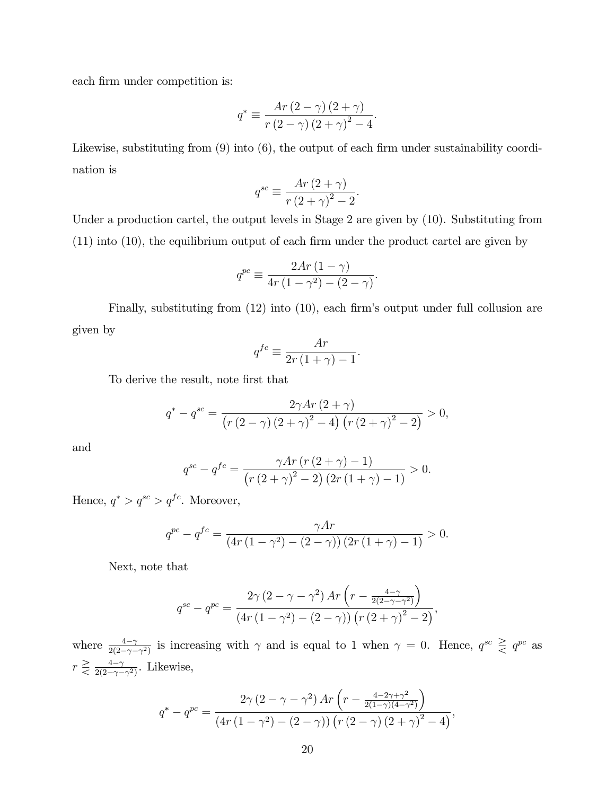each firm under competition is:

$$
q^* \equiv \frac{Ar\left(2-\gamma\right)\left(2+\gamma\right)}{r\left(2-\gamma\right)\left(2+\gamma\right)^2-4}.
$$

Likewise, substituting from  $(9)$  into  $(6)$ , the output of each firm under sustainability coordination is

$$
q^{sc} \equiv \frac{Ar\left(2+\gamma\right)}{r\left(2+\gamma\right)^2 - 2}.
$$

Under a production cartel, the output levels in Stage 2 are given by (10). Substituting from  $(11)$  into  $(10)$ , the equilibrium output of each firm under the product cartel are given by

$$
q^{pc} \equiv \frac{2Ar\left(1-\gamma\right)}{4r\left(1-\gamma^2\right) - \left(2-\gamma\right)}.
$$

Finally, substituting from  $(12)$  into  $(10)$ , each firm's output under full collusion are given by

$$
q^{fc} \equiv \frac{Ar}{2r(1+\gamma) - 1}.
$$

To derive the result, note first that

$$
q^* - q^{sc} = \frac{2\gamma Ar (2 + \gamma)}{(r (2 - \gamma) (2 + \gamma)^2 - 4) (r (2 + \gamma)^2 - 2)} > 0,
$$

and

$$
q^{sc} - q^{fc} = \frac{\gamma Ar (r (2 + \gamma) - 1)}{(r (2 + \gamma)^2 - 2) (2r (1 + \gamma) - 1)} > 0.
$$

Hence,  $q^* > q^{sc} > q^{fc}$ . Moreover,

$$
q^{pc} - q^{fc} = \frac{\gamma Ar}{(4r(1 - \gamma^2) - (2 - \gamma))(2r(1 + \gamma) - 1)} > 0.
$$

Next, note that

$$
q^{sc} - q^{pc} = \frac{2\gamma (2 - \gamma - \gamma^2) Ar \left(r - \frac{4 - \gamma}{2(2 - \gamma - \gamma^2)}\right)}{(4r (1 - \gamma^2) - (2 - \gamma)) (r (2 + \gamma)^2 - 2)},
$$

where  $\frac{4-\gamma}{2(2-\gamma-\gamma^2)}$  is increasing with  $\gamma$  and is equal to 1 when  $\gamma = 0$ . Hence,  $q^{sc} \geq q^{pc}$  as  $r \geq \frac{4-\gamma}{2(2-\gamma)}$  $rac{4-\gamma}{2(2-\gamma-\gamma^2)}$ . Likewise,

$$
q^* - q^{pc} = \frac{2\gamma (2 - \gamma - \gamma^2) Ar \left(r - \frac{4 - 2\gamma + \gamma^2}{2(1 - \gamma)(4 - \gamma^2)}\right)}{(4r (1 - \gamma^2) - (2 - \gamma)) (r (2 - \gamma) (2 + \gamma)^2 - 4)},
$$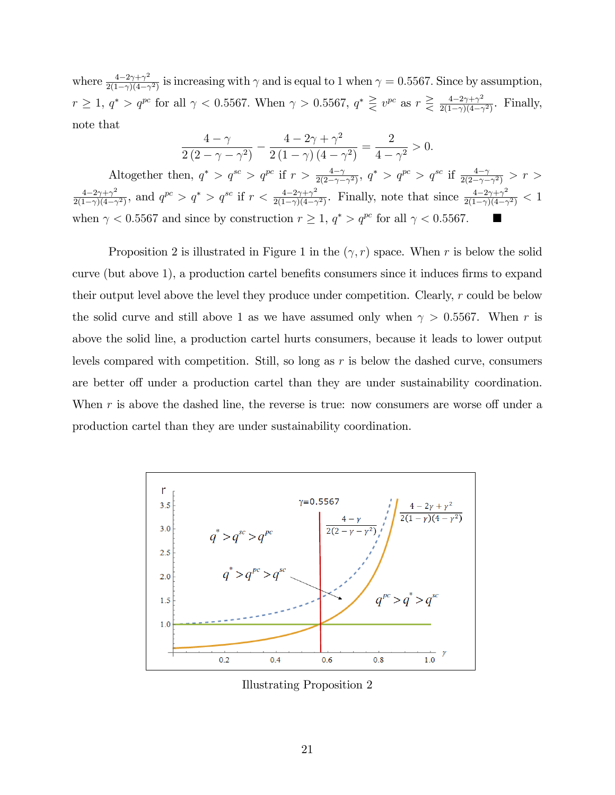where  $\frac{4-2\gamma+\gamma^2}{2(1-\gamma)(4-\gamma)}$  $\frac{4-2\gamma+\gamma^2}{2(1-\gamma)(4-\gamma^2)}$  is increasing with  $\gamma$  and is equal to 1 when  $\gamma=0.5567$ . Since by assumption,  $r \geq 1, q^* > q^{pc}$  for all  $\gamma < 0.5567$ . When  $\gamma > 0.5567, q^* \geq v^{pc}$  as  $r \geq \frac{4-2\gamma+\gamma^2}{2(1-\gamma)(4-\gamma)}$  $\frac{4-2\gamma+\gamma^2}{2(1-\gamma)(4-\gamma^2)}$ . Finally, note that

$$
\frac{4-\gamma}{2(2-\gamma-\gamma^2)} - \frac{4-2\gamma+\gamma^2}{2(1-\gamma)(4-\gamma^2)} = \frac{2}{4-\gamma^2} > 0.
$$

Altogether then,  $q^* > q^{sc} > q^{pc}$  if  $r > \frac{4-\gamma}{2(2-\gamma-\gamma^2)}$ ,  $q^* > q^{pc} > q^{sc}$  if  $\frac{4-\gamma}{2(2-\gamma-\gamma^2)} > r >$  $\frac{4-2\gamma+\gamma^2}{}$  $\frac{4-2\gamma+\gamma^2}{2(1-\gamma)(4-\gamma^2)}$ , and  $q^{pc} > q^* > q^{sc}$  if  $r < \frac{4-2\gamma+\gamma^2}{2(1-\gamma)(4-\gamma)}$  $\frac{4-2\gamma+\gamma^2}{2(1-\gamma)(4-\gamma^2)}$ . Finally, note that since  $\frac{4-2\gamma+\gamma^2}{2(1-\gamma)(4-\gamma)}$  $\frac{4-2\gamma+\gamma^2}{2(1-\gamma)(4-\gamma^2)} < 1$ when  $\gamma < 0.5567$  and since by construction  $r \ge 1$ ,  $q^* > q^{pc}$  for all  $\gamma < 0.5567$ .

Proposition 2 is illustrated in Figure 1 in the  $(\gamma, r)$  space. When r is below the solid curve (but above 1), a production cartel benefits consumers since it induces firms to expand their output level above the level they produce under competition. Clearly, r could be below the solid curve and still above 1 as we have assumed only when  $\gamma > 0.5567$ . When r is above the solid line, a production cartel hurts consumers, because it leads to lower output levels compared with competition. Still, so long as  $r$  is below the dashed curve, consumers are better off under a production cartel than they are under sustainability coordination. When  $r$  is above the dashed line, the reverse is true: now consumers are worse off under a production cartel than they are under sustainability coordination.



Illustrating Proposition 2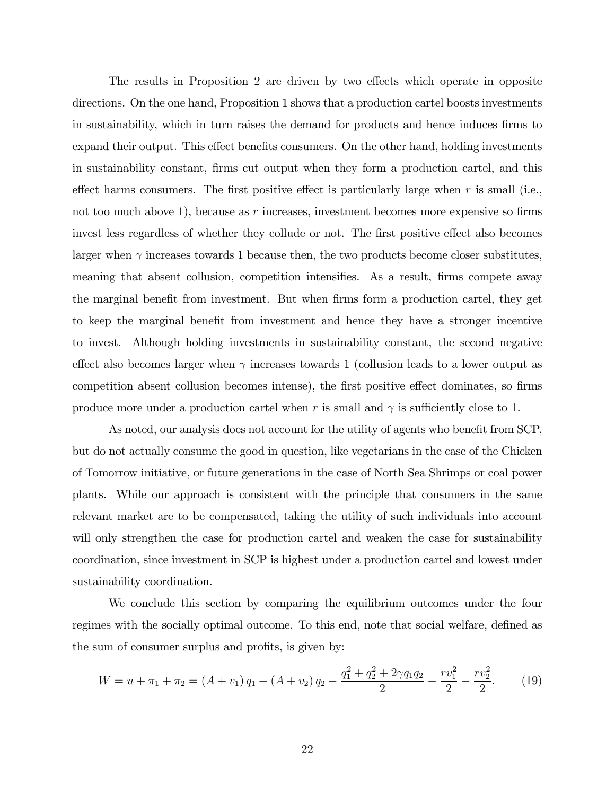The results in Proposition 2 are driven by two effects which operate in opposite directions. On the one hand, Proposition 1 shows that a production cartel boosts investments in sustainability, which in turn raises the demand for products and hence induces firms to expand their output. This effect benefits consumers. On the other hand, holding investments in sustainability constant, Örms cut output when they form a production cartel, and this effect harms consumers. The first positive effect is particularly large when  $r$  is small (i.e., not too much above 1), because as r increases, investment becomes more expensive so firms invest less regardless of whether they collude or not. The first positive effect also becomes larger when  $\gamma$  increases towards 1 because then, the two products become closer substitutes, meaning that absent collusion, competition intensifies. As a result, firms compete away the marginal benefit from investment. But when firms form a production cartel, they get to keep the marginal benefit from investment and hence they have a stronger incentive to invest. Although holding investments in sustainability constant, the second negative effect also becomes larger when  $\gamma$  increases towards 1 (collusion leads to a lower output as competition absent collusion becomes intense), the first positive effect dominates, so firms produce more under a production cartel when r is small and  $\gamma$  is sufficiently close to 1.

As noted, our analysis does not account for the utility of agents who benefit from SCP, but do not actually consume the good in question, like vegetarians in the case of the Chicken of Tomorrow initiative, or future generations in the case of North Sea Shrimps or coal power plants. While our approach is consistent with the principle that consumers in the same relevant market are to be compensated, taking the utility of such individuals into account will only strengthen the case for production cartel and weaken the case for sustainability coordination, since investment in SCP is highest under a production cartel and lowest under sustainability coordination.

We conclude this section by comparing the equilibrium outcomes under the four regimes with the socially optimal outcome. To this end, note that social welfare, defined as the sum of consumer surplus and profits, is given by:

$$
W = u + \pi_1 + \pi_2 = (A + v_1) q_1 + (A + v_2) q_2 - \frac{q_1^2 + q_2^2 + 2\gamma q_1 q_2}{2} - \frac{rv_1^2}{2} - \frac{rv_2^2}{2}.
$$
 (19)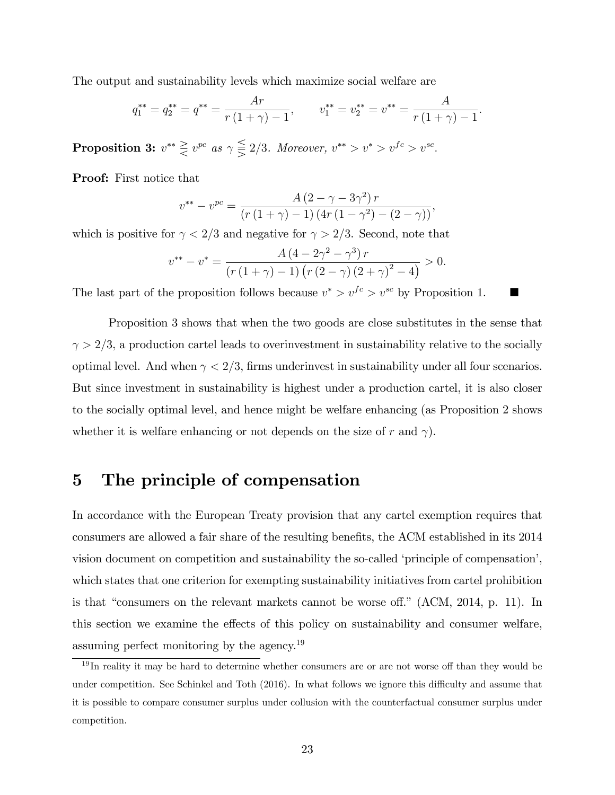The output and sustainability levels which maximize social welfare are

$$
q_1^{**} = q_2^{**} = q^{**} = \frac{Ar}{r(1+\gamma)-1}
$$
,  $v_1^{**} = v_2^{**} = v^{**} = \frac{A}{r(1+\gamma)-1}$ .

**Proposition 3:**  $v^{**} \geq v^{pc}$  as  $\gamma \leq 2/3$ . Moreover,  $v^{**} > v^{*} > v^{fc} > v^{sc}$ .

Proof: First notice that

$$
v^{**} - v^{pc} = \frac{A(2 - \gamma - 3\gamma^2) r}{(r(1 + \gamma) - 1) (4r(1 - \gamma^2) - (2 - \gamma))},
$$

which is positive for  $\gamma < 2/3$  and negative for  $\gamma > 2/3$ . Second, note that

$$
v^{**} - v^* = \frac{A (4 - 2\gamma^2 - \gamma^3) r}{(r (1 + \gamma) - 1) (r (2 - \gamma) (2 + \gamma)^2 - 4)} > 0.
$$

The last part of the proposition follows because  $v^* > v^{fc} > v^{sc}$  by Proposition 1.

Proposition 3 shows that when the two goods are close substitutes in the sense that  $\gamma > 2/3$ , a production cartel leads to overinvestment in sustainability relative to the socially optimal level. And when  $\gamma < 2/3$ , firms underinvest in sustainability under all four scenarios. But since investment in sustainability is highest under a production cartel, it is also closer to the socially optimal level, and hence might be welfare enhancing (as Proposition 2 shows whether it is welfare enhancing or not depends on the size of r and  $\gamma$ .

## 5 The principle of compensation

In accordance with the European Treaty provision that any cartel exemption requires that consumers are allowed a fair share of the resulting benefits, the ACM established in its 2014 vision document on competition and sustainability the so-called 'principle of compensation', which states that one criterion for exempting sustainability initiatives from cartel prohibition is that "consumers on the relevant markets cannot be worse off." (ACM,  $2014$ , p. 11). In this section we examine the effects of this policy on sustainability and consumer welfare, assuming perfect monitoring by the agency.<sup>19</sup>

 $19$ In reality it may be hard to determine whether consumers are or are not worse off than they would be under competition. See Schinkel and Toth (2016). In what follows we ignore this difficulty and assume that it is possible to compare consumer surplus under collusion with the counterfactual consumer surplus under competition.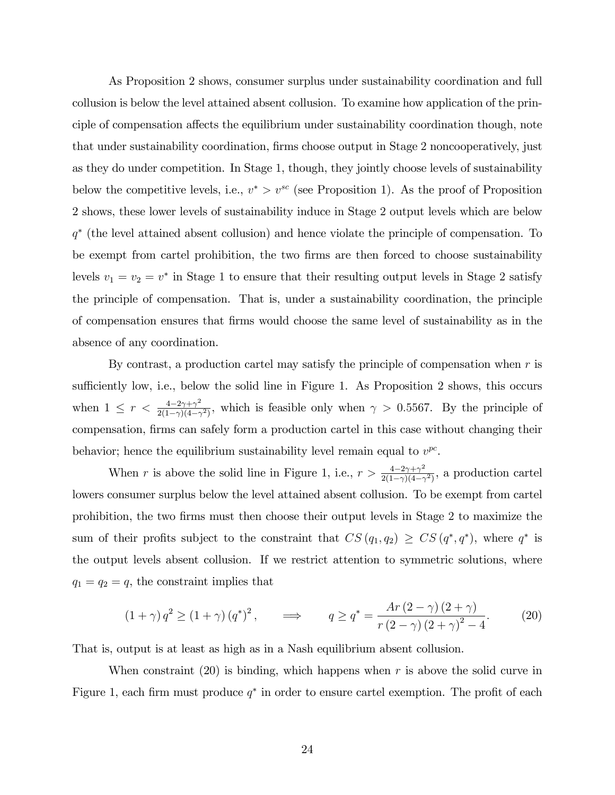As Proposition 2 shows, consumer surplus under sustainability coordination and full collusion is below the level attained absent collusion. To examine how application of the principle of compensation affects the equilibrium under sustainability coordination though, note that under sustainability coordination, firms choose output in Stage 2 noncooperatively, just as they do under competition. In Stage 1, though, they jointly choose levels of sustainability below the competitive levels, i.e.,  $v^* > v^{sc}$  (see Proposition 1). As the proof of Proposition 2 shows, these lower levels of sustainability induce in Stage 2 output levels which are below q (the level attained absent collusion) and hence violate the principle of compensation. To be exempt from cartel prohibition, the two Örms are then forced to choose sustainability levels  $v_1 = v_2 = v^*$  in Stage 1 to ensure that their resulting output levels in Stage 2 satisfy the principle of compensation. That is, under a sustainability coordination, the principle of compensation ensures that Örms would choose the same level of sustainability as in the absence of any coordination.

By contrast, a production cartel may satisfy the principle of compensation when  $r$  is sufficiently low, i.e., below the solid line in Figure 1. As Proposition 2 shows, this occurs when  $1 \leq r < \frac{4-2\gamma+\gamma^2}{2(1-\gamma)(4-\gamma)}$  $\frac{4-2\gamma+\gamma^2}{2(1-\gamma)(4-\gamma^2)}$ , which is feasible only when  $\gamma > 0.5567$ . By the principle of compensation, firms can safely form a production cartel in this case without changing their behavior; hence the equilibrium sustainability level remain equal to  $v^{pc}$ .

When r is above the solid line in Figure 1, i.e.,  $r > \frac{4-2\gamma+\gamma^2}{2(1-\gamma)(4-\gamma)}$  $\frac{4-2\gamma+\gamma^2}{2(1-\gamma)(4-\gamma^2)}$ , a production cartel lowers consumer surplus below the level attained absent collusion. To be exempt from cartel prohibition, the two Örms must then choose their output levels in Stage 2 to maximize the sum of their profits subject to the constraint that  $CS(q_1, q_2) \geq CS(q^*, q^*)$ , where  $q^*$  is the output levels absent collusion. If we restrict attention to symmetric solutions, where  $q_1 = q_2 = q$ , the constraint implies that

$$
(1+\gamma) q^{2} \ge (1+\gamma) (q^{*})^{2}, \qquad \Longrightarrow \qquad q \ge q^{*} = \frac{Ar (2-\gamma) (2+\gamma)}{r (2-\gamma) (2+\gamma)^{2} - 4}.
$$
 (20)

That is, output is at least as high as in a Nash equilibrium absent collusion.

When constraint  $(20)$  is binding, which happens when r is above the solid curve in Figure 1, each firm must produce  $q^*$  in order to ensure cartel exemption. The profit of each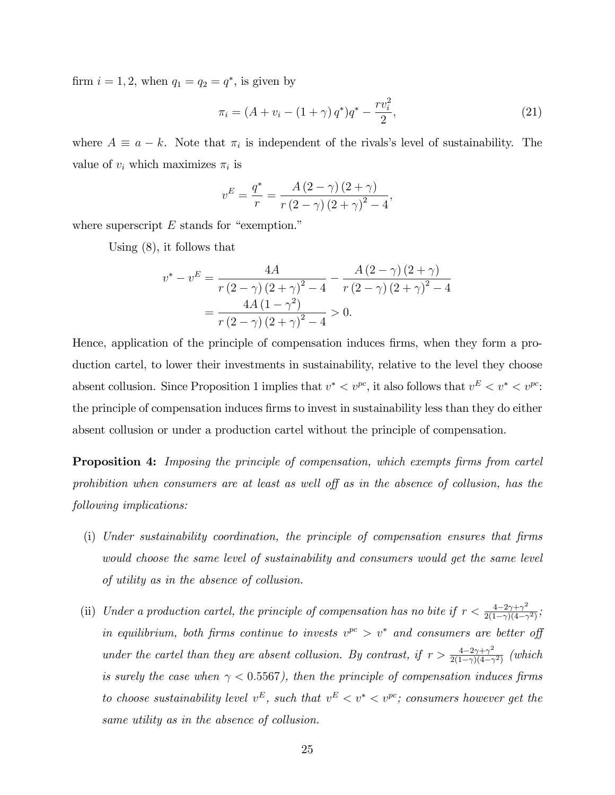firm  $i = 1, 2$ , when  $q_1 = q_2 = q^*$ , is given by

$$
\pi_i = (A + v_i - (1 + \gamma) q^*) q^* - \frac{r v_i^2}{2},\tag{21}
$$

where  $A \equiv a - k$ . Note that  $\pi_i$  is independent of the rivals's level of sustainability. The value of  $v_i$  which maximizes  $\pi_i$  is

$$
v^{E} = \frac{q^*}{r} = \frac{A(2-\gamma)(2+\gamma)}{r(2-\gamma)(2+\gamma)^2 - 4},
$$

where superscript  $E$  stands for "exemption."

Using (8), it follows that

$$
v^* - v^E = \frac{4A}{r(2-\gamma)(2+\gamma)^2 - 4} - \frac{A(2-\gamma)(2+\gamma)}{r(2-\gamma)(2+\gamma)^2 - 4}
$$

$$
= \frac{4A(1-\gamma^2)}{r(2-\gamma)(2+\gamma)^2 - 4} > 0.
$$

Hence, application of the principle of compensation induces firms, when they form a production cartel, to lower their investments in sustainability, relative to the level they choose absent collusion. Since Proposition 1 implies that  $v^* < v^{pc}$ , it also follows that  $v^E < v^* < v^{pc}$ . the principle of compensation induces firms to invest in sustainability less than they do either absent collusion or under a production cartel without the principle of compensation.

**Proposition 4:** Imposing the principle of compensation, which exempts firms from cartel prohibition when consumers are at least as well off as in the absence of collusion, has the following implications:

- $(i)$  Under sustainability coordination, the principle of compensation ensures that firms would choose the same level of sustainability and consumers would get the same level of utility as in the absence of collusion.
- (ii) Under a production cartel, the principle of compensation has no bite if  $r < \frac{4-2\gamma+\gamma^2}{2(1-\gamma)(4-\gamma)}$  $\frac{4-2\gamma+\gamma^2}{2(1-\gamma)(4-\gamma^2)}$ in equilibrium, both firms continue to invests  $v^{pc} > v^*$  and consumers are better of under the cartel than they are absent collusion. By contrast, if  $r > \frac{4-2\gamma+\gamma^2}{2(1-\gamma)(4-\gamma)}$  $rac{4-2\gamma+\gamma^2}{2(1-\gamma)(4-\gamma^2)}$  (which is surely the case when  $\gamma < 0.5567$ ), then the principle of compensation induces firms to choose sustainability level  $v^E$ , such that  $v^E < v^* < v^{pc}$ ; consumers however get the same utility as in the absence of collusion.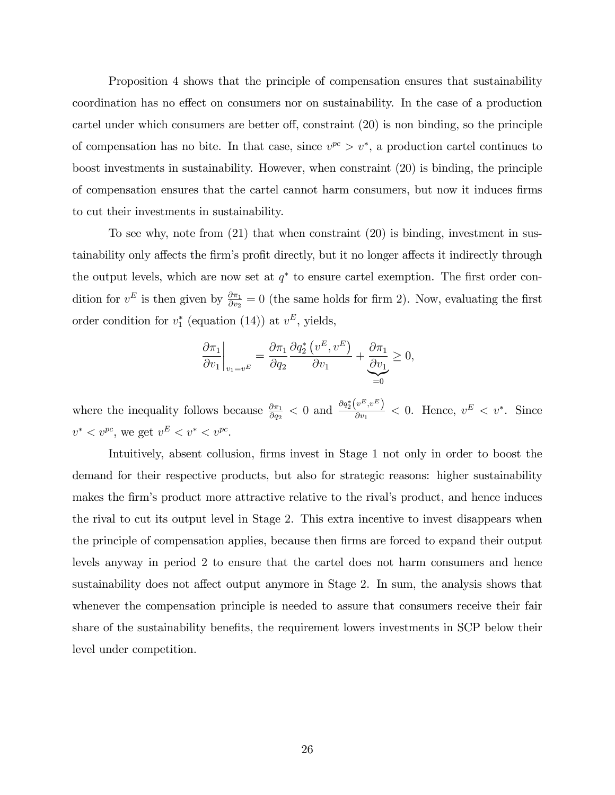Proposition 4 shows that the principle of compensation ensures that sustainability coordination has no effect on consumers nor on sustainability. In the case of a production cartel under which consumers are better off, constraint  $(20)$  is non binding, so the principle of compensation has no bite. In that case, since  $v^{pc} > v^*$ , a production cartel continues to boost investments in sustainability. However, when constraint (20) is binding, the principle of compensation ensures that the cartel cannot harm consumers, but now it induces firms to cut their investments in sustainability.

To see why, note from (21) that when constraint (20) is binding, investment in sustainability only affects the firm's profit directly, but it no longer affects it indirectly through the output levels, which are now set at  $q^*$  to ensure cartel exemption. The first order condition for  $v^E$  is then given by  $\frac{\partial \pi_1}{\partial v_2} = 0$  (the same holds for firm 2). Now, evaluating the first order condition for  $v_1^*$  (equation (14)) at  $v^E$ , yields,

$$
\left. \frac{\partial \pi_1}{\partial v_1} \right|_{v_1 = v^E} = \frac{\partial \pi_1}{\partial q_2} \frac{\partial q_2^* (v^E, v^E)}{\partial v_1} + \underbrace{\frac{\partial \pi_1}{\partial v_1}}_{=0} \ge 0,
$$

where the inequality follows because  $\frac{\partial \pi_1}{\partial q_2} < 0$  and  $\frac{\partial q_2^*(v^E, v^E)}{\partial v_1}$  $\frac{v^{-v}}{\partial v_1}$  < 0. Hence,  $v^E < v^*$ . Since  $v^* < v^{pc}$ , we get  $v^E < v^* < v^{pc}$ .

Intuitively, absent collusion, firms invest in Stage 1 not only in order to boost the demand for their respective products, but also for strategic reasons: higher sustainability makes the firm's product more attractive relative to the rival's product, and hence induces the rival to cut its output level in Stage 2. This extra incentive to invest disappears when the principle of compensation applies, because then firms are forced to expand their output levels anyway in period 2 to ensure that the cartel does not harm consumers and hence sustainability does not affect output anymore in Stage 2. In sum, the analysis shows that whenever the compensation principle is needed to assure that consumers receive their fair share of the sustainability benefits, the requirement lowers investments in SCP below their level under competition.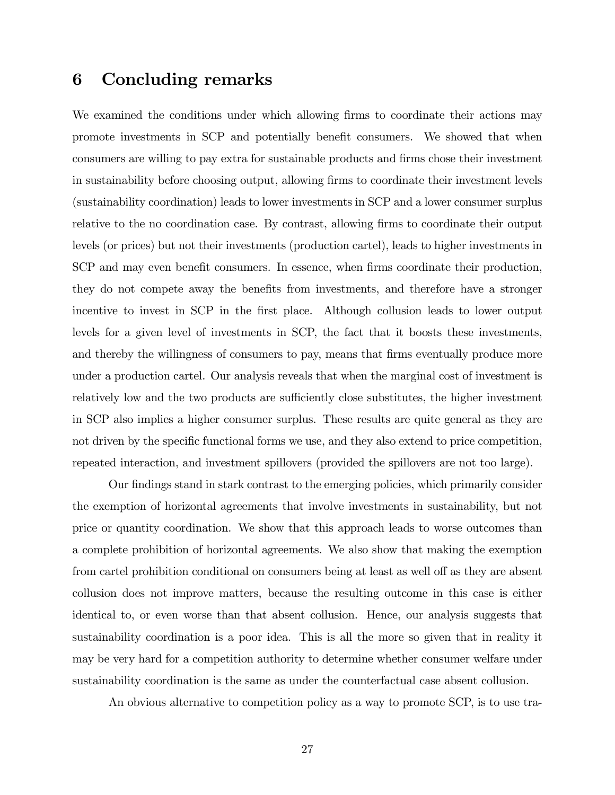## 6 Concluding remarks

We examined the conditions under which allowing firms to coordinate their actions may promote investments in SCP and potentially benefit consumers. We showed that when consumers are willing to pay extra for sustainable products and firms chose their investment in sustainability before choosing output, allowing firms to coordinate their investment levels (sustainability coordination) leads to lower investments in SCP and a lower consumer surplus relative to the no coordination case. By contrast, allowing firms to coordinate their output levels (or prices) but not their investments (production cartel), leads to higher investments in SCP and may even benefit consumers. In essence, when firms coordinate their production, they do not compete away the benefits from investments, and therefore have a stronger incentive to invest in SCP in the first place. Although collusion leads to lower output levels for a given level of investments in SCP, the fact that it boosts these investments, and thereby the willingness of consumers to pay, means that firms eventually produce more under a production cartel. Our analysis reveals that when the marginal cost of investment is relatively low and the two products are sufficiently close substitutes, the higher investment in SCP also implies a higher consumer surplus. These results are quite general as they are not driven by the specific functional forms we use, and they also extend to price competition, repeated interaction, and investment spillovers (provided the spillovers are not too large).

Our findings stand in stark contrast to the emerging policies, which primarily consider the exemption of horizontal agreements that involve investments in sustainability, but not price or quantity coordination. We show that this approach leads to worse outcomes than a complete prohibition of horizontal agreements. We also show that making the exemption from cartel prohibition conditional on consumers being at least as well off as they are absent collusion does not improve matters, because the resulting outcome in this case is either identical to, or even worse than that absent collusion. Hence, our analysis suggests that sustainability coordination is a poor idea. This is all the more so given that in reality it may be very hard for a competition authority to determine whether consumer welfare under sustainability coordination is the same as under the counterfactual case absent collusion.

An obvious alternative to competition policy as a way to promote SCP, is to use tra-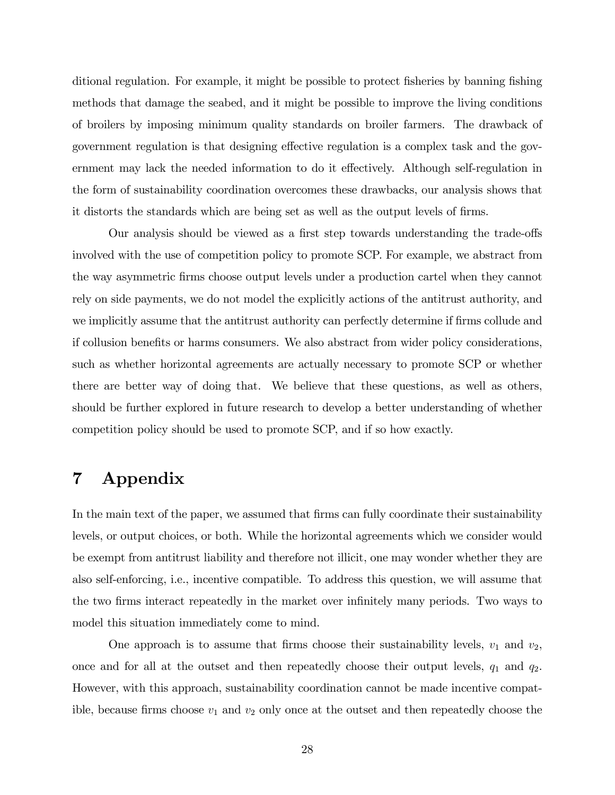ditional regulation. For example, it might be possible to protect fisheries by banning fishing methods that damage the seabed, and it might be possible to improve the living conditions of broilers by imposing minimum quality standards on broiler farmers. The drawback of government regulation is that designing effective regulation is a complex task and the government may lack the needed information to do it effectively. Although self-regulation in the form of sustainability coordination overcomes these drawbacks, our analysis shows that it distorts the standards which are being set as well as the output levels of firms.

Our analysis should be viewed as a first step towards understanding the trade-offs involved with the use of competition policy to promote SCP. For example, we abstract from the way asymmetric Örms choose output levels under a production cartel when they cannot rely on side payments, we do not model the explicitly actions of the antitrust authority, and we implicitly assume that the antitrust authority can perfectly determine if firms collude and if collusion benefits or harms consumers. We also abstract from wider policy considerations, such as whether horizontal agreements are actually necessary to promote SCP or whether there are better way of doing that. We believe that these questions, as well as others, should be further explored in future research to develop a better understanding of whether competition policy should be used to promote SCP, and if so how exactly.

## 7 Appendix

In the main text of the paper, we assumed that firms can fully coordinate their sustainability levels, or output choices, or both. While the horizontal agreements which we consider would be exempt from antitrust liability and therefore not illicit, one may wonder whether they are also self-enforcing, i.e., incentive compatible. To address this question, we will assume that the two firms interact repeatedly in the market over infinitely many periods. Two ways to model this situation immediately come to mind.

One approach is to assume that firms choose their sustainability levels,  $v_1$  and  $v_2$ , once and for all at the outset and then repeatedly choose their output levels,  $q_1$  and  $q_2$ . However, with this approach, sustainability coordination cannot be made incentive compatible, because firms choose  $v_1$  and  $v_2$  only once at the outset and then repeatedly choose the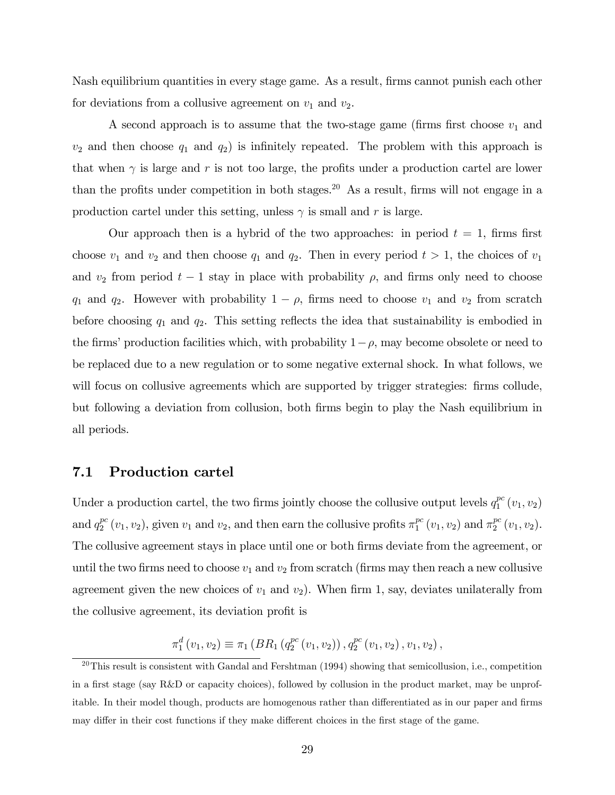Nash equilibrium quantities in every stage game. As a result, firms cannot punish each other for deviations from a collusive agreement on  $v_1$  and  $v_2$ .

A second approach is to assume that the two-stage game (firms first choose  $v_1$  and  $v_2$  and then choose  $q_1$  and  $q_2$ ) is infinitely repeated. The problem with this approach is that when  $\gamma$  is large and r is not too large, the profits under a production cartel are lower than the profits under competition in both stages.<sup>20</sup> As a result, firms will not engage in a production cartel under this setting, unless  $\gamma$  is small and r is large.

Our approach then is a hybrid of the two approaches: in period  $t = 1$ , firms first choose  $v_1$  and  $v_2$  and then choose  $q_1$  and  $q_2$ . Then in every period  $t > 1$ , the choices of  $v_1$ and  $v_2$  from period  $t-1$  stay in place with probability  $\rho$ , and firms only need to choose  $q_1$  and  $q_2$ . However with probability  $1 - \rho$ , firms need to choose  $v_1$  and  $v_2$  from scratch before choosing  $q_1$  and  $q_2$ . This setting reflects the idea that sustainability is embodied in the firms' production facilities which, with probability  $1-\rho$ , may become obsolete or need to be replaced due to a new regulation or to some negative external shock. In what follows, we will focus on collusive agreements which are supported by trigger strategies: firms collude, but following a deviation from collusion, both Örms begin to play the Nash equilibrium in all periods.

#### 7.1 Production cartel

Under a production cartel, the two firms jointly choose the collusive output levels  $q_1^{pc}$  $_{1}^{pc}(v_{1},v_{2})$ and  $q_2^{pc}$  $_2^{pc}(v_1, v_2)$ , given  $v_1$  and  $v_2$ , and then earn the collusive profits  $\pi_1^{pc}$  $_1^{pc}\left(v_1,v_2\right)$  and  $\pi^{pc}_2$  $_{2}^{pc}(v_1,v_2)$ . The collusive agreement stays in place until one or both firms deviate from the agreement, or until the two firms need to choose  $v_1$  and  $v_2$  from scratch (firms may then reach a new collusive agreement given the new choices of  $v_1$  and  $v_2$ ). When firm 1, say, deviates unilaterally from the collusive agreement, its deviation profit is

$$
\pi_1^d(v_1, v_2) \equiv \pi_1\left(BR_1\left(q_2^{pc}\left(v_1, v_2\right)\right), q_2^{pc}\left(v_1, v_2\right), v_1, v_2\right),
$$

 $^{20}$ This result is consistent with Gandal and Fershtman (1994) showing that semicollusion, i.e., competition in a first stage (say R&D or capacity choices), followed by collusion in the product market, may be unprofitable. In their model though, products are homogenous rather than differentiated as in our paper and firms may differ in their cost functions if they make different choices in the first stage of the game.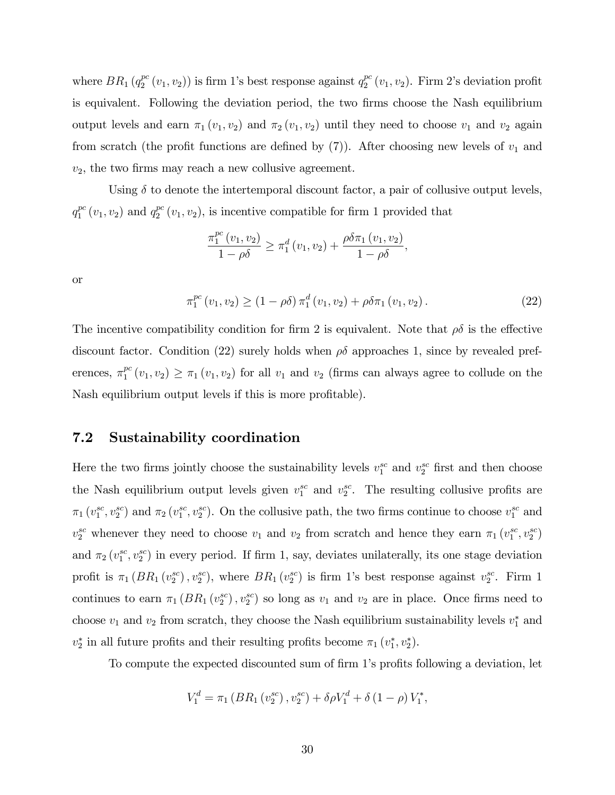where  $BR_1(q_2^{pc})$  $_2^{pc}(v_1, v_2)$ ) is firm 1's best response against  $q_2^{pc}$  $_2^{pc}(v_1, v_2)$ . Firm 2's deviation profit is equivalent. Following the deviation period, the two firms choose the Nash equilibrium output levels and earn  $\pi_1(v_1, v_2)$  and  $\pi_2(v_1, v_2)$  until they need to choose  $v_1$  and  $v_2$  again from scratch (the profit functions are defined by  $(7)$ ). After choosing new levels of  $v_1$  and  $v_2$ , the two firms may reach a new collusive agreement.

Using  $\delta$  to denote the intertemporal discount factor, a pair of collusive output levels,  $q_1^{pc}$  $_1^{pc}(v_1, v_2)$  and  $q_2^{pc}$  $2^{pc}(v_1, v_2)$ , is incentive compatible for firm 1 provided that

$$
\frac{\pi_1^{pc}(v_1, v_2)}{1 - \rho \delta} \ge \pi_1^d(v_1, v_2) + \frac{\rho \delta \pi_1(v_1, v_2)}{1 - \rho \delta},
$$

or

$$
\pi_1^{pc}(v_1, v_2) \ge (1 - \rho \delta) \pi_1^d(v_1, v_2) + \rho \delta \pi_1(v_1, v_2).
$$
\n(22)

The incentive compatibility condition for firm 2 is equivalent. Note that  $\rho\delta$  is the effective discount factor. Condition (22) surely holds when  $\rho\delta$  approaches 1, since by revealed preferences,  $\pi_1^{pc}$  $\binom{pc}{1}(v_1, v_2) \geq \pi_1(v_1, v_2)$  for all  $v_1$  and  $v_2$  (firms can always agree to collude on the Nash equilibrium output levels if this is more profitable).

#### 7.2 Sustainability coordination

Here the two firms jointly choose the sustainability levels  $v_1^{sc}$  and  $v_2^{sc}$  first and then choose the Nash equilibrium output levels given  $v_1^{sc}$  and  $v_2^{sc}$ . The resulting collusive profits are  $\pi_1(v_1^{sc}, v_2^{sc})$  and  $\pi_2(v_1^{sc}, v_2^{sc})$ . On the collusive path, the two firms continue to choose  $v_1^{sc}$  and  $v_2^{sc}$  whenever they need to choose  $v_1$  and  $v_2$  from scratch and hence they earn  $\pi_1(v_1^{sc}, v_2^{sc})$ and  $\pi_2(v_1^{sc}, v_2^{sc})$  in every period. If firm 1, say, deviates unilaterally, its one stage deviation profit is  $\pi_1(BR_1(v_2^{sc}), v_2^{sc})$ , where  $BR_1(v_2^{sc})$  is firm 1's best response against  $v_2^{sc}$ . Firm 1 continues to earn  $\pi_1(BR_1(v_2^{sc}), v_2^{sc})$  so long as  $v_1$  and  $v_2$  are in place. Once firms need to choose  $v_1$  and  $v_2$  from scratch, they choose the Nash equilibrium sustainability levels  $v_1^*$  and  $v_2^*$  in all future profits and their resulting profits become  $\pi_1(v_1^*, v_2^*)$ .

To compute the expected discounted sum of firm 1's profits following a deviation, let

$$
V_1^d = \pi_1 \left( BR_1 \left( v_2^{sc} \right), v_2^{sc} \right) + \delta \rho V_1^d + \delta \left( 1 - \rho \right) V_1^*,
$$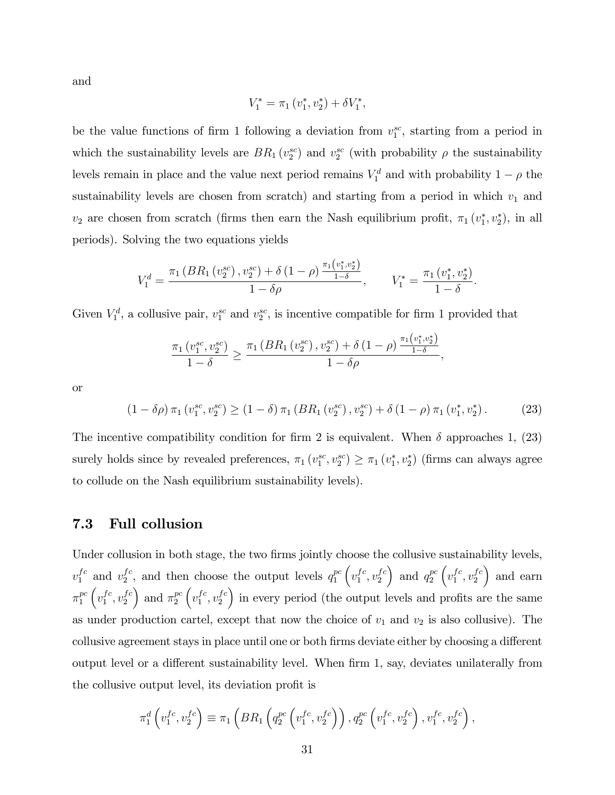and

$$
V_1^* = \pi_1(v_1^*, v_2^*) + \delta V_1^*,
$$

be the value functions of firm 1 following a deviation from  $v_1^{sc}$ , starting from a period in which the sustainability levels are  $BR_1(v_2^{sc})$  and  $v_2^{sc}$  (with probability  $\rho$  the sustainability levels remain in place and the value next period remains  $V_1^d$  and with probability  $1 - \rho$  the sustainability levels are chosen from scratch) and starting from a period in which  $v_1$  and  $v_2$  are chosen from scratch (firms then earn the Nash equilibrium profit,  $\pi_1(v_1^*, v_2^*)$ , in all periods). Solving the two equations yields

$$
V_1^d = \frac{\pi_1\left(BR_1\left(v_2^{sc}\right), v_2^{sc}\right) + \delta\left(1-\rho\right) \frac{\pi_1\left(v_1^*, v_2^*\right)}{1-\delta}}{1-\delta \rho}, \qquad V_1^* = \frac{\pi_1\left(v_1^*, v_2^*\right)}{1-\delta}.
$$

Given  $V_1^d$ , a collusive pair,  $v_1^{sc}$  and  $v_2^{sc}$ , is incentive compatible for firm 1 provided that

$$
\frac{\pi_1(v_1^{sc}, v_2^{sc})}{1-\delta} \ge \frac{\pi_1\left(BR_1(v_2^{sc}), v_2^{sc}\right) + \delta\left(1-\rho\right) \frac{\pi_1(v_1^*, v_2^*)}{1-\delta}}{1-\delta\rho},
$$

or

$$
(1 - \delta \rho) \pi_1 \left(v_1^{sc}, v_2^{sc}\right) \ge (1 - \delta) \pi_1 \left(BR_1\left(v_2^{sc}\right), v_2^{sc}\right) + \delta \left(1 - \rho\right) \pi_1 \left(v_1^*, v_2^*\right). \tag{23}
$$

The incentive compatibility condition for firm 2 is equivalent. When  $\delta$  approaches 1, (23) surely holds since by revealed preferences,  $\pi_1(v_1^{sc}, v_2^{sc}) \ge \pi_1(v_1^*, v_2^*)$  (firms can always agree to collude on the Nash equilibrium sustainability levels).

#### 7.3 Full collusion

Under collusion in both stage, the two firms jointly choose the collusive sustainability levels,  $v_1^{fc}$  and  $v_2^{fc}$  $_2^{fc}$ , and then choose the output levels  $q_1^{pc}$ 1  $\left(v_1^{fc}\right)$  $_1^{fc}, v_2^{fc}$ 2 ) and  $q_2^{pc}$ 2  $\left(v_1^{fc}\right)$  $_1^{fc}, v_2^{fc}$ 2 and earn  $\pi_1^{pc}$ 1  $\left(v_1^{fc}\right)$  $_1^{fc}, v_2^{fc}$ 2 ) and  $\pi_2^{pc}$ 2  $\left(v_1^{fc}\right)$  $_1^{fc}, v_2^{fc}$ 2 in every period (the output levels and profits are the same as under production cartel, except that now the choice of  $v_1$  and  $v_2$  is also collusive). The collusive agreement stays in place until one or both firms deviate either by choosing a different output level or a different sustainability level. When firm 1, say, deviates unilaterally from the collusive output level, its deviation profit is

$$
\pi_1^d \left( v_1^{fc}, v_2^{fc} \right) \equiv \pi_1 \left( BR_1 \left( q_2^{pc} \left( v_1^{fc}, v_2^{fc} \right) \right), q_2^{pc} \left( v_1^{fc}, v_2^{fc} \right), v_1^{fc}, v_2^{fc} \right),
$$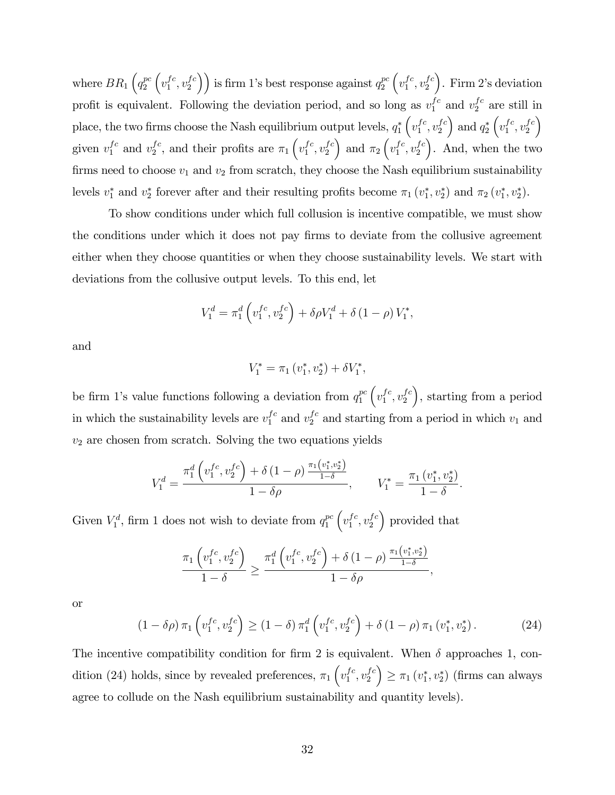where  $BR_1\left(q_2^{pc}\right)$ 2  $\left(v_1^{fc}\right)$  $_1^{fc}, v_2^{fc}$  $\binom{fc}{2}$ ) is firm 1's best response against  $q_2^{pc}$ 2  $\left(v_1^{fc}\right)$  $_1^{fc}, v_2^{fc}$ 2  $\sum$ . Firm 2's deviation profit is equivalent. Following the deviation period, and so long as  $v_1^{fc}$  and  $v_2^{fc}$  are still in place, the two firms choose the Nash equilibrium output levels,  $q_1^*$  $\left(v_1^{fc}\right)$  $_1^{fc}, v_2^{fc}$ 2  $\Big)$  and  $q_2^*$  $\left(v_1^{fc}\right)$  $_1^{fc}, v_2^{fc}$ 2  $\setminus$ given  $v_1^{fc}$  and  $v_2^{fc}$  $_2^{fc}$ , and their profits are  $\pi_1\left(v_1^{fc}\right)$  $_1^{fc}, v_2^{fc}$ 2 ) and  $\pi_2\left(v_1^{fc}\right)$  $_1^{fc}, v_2^{fc}$ 2 . And, when the two firms need to choose  $v_1$  and  $v_2$  from scratch, they choose the Nash equilibrium sustainability levels  $v_1^*$  and  $v_2^*$  forever after and their resulting profits become  $\pi_1(v_1^*, v_2^*)$  and  $\pi_2(v_1^*, v_2^*)$ .

To show conditions under which full collusion is incentive compatible, we must show the conditions under which it does not pay firms to deviate from the collusive agreement either when they choose quantities or when they choose sustainability levels. We start with deviations from the collusive output levels. To this end, let

$$
V_1^d = \pi_1^d \left( v_1^{fc}, v_2^{fc} \right) + \delta \rho V_1^d + \delta (1 - \rho) V_1^*,
$$

and

$$
V_1^* = \pi_1(v_1^*, v_2^*) + \delta V_1^*,
$$

be firm 1's value functions following a deviation from  $q_1^{pc}$ 1  $\left(v_1^{fc}\right)$  $_1^{fc}, v_2^{fc}$ 2 , starting from a period in which the sustainability levels are  $v_1^{fc}$  and  $v_2^{fc}$  and starting from a period in which  $v_1$  and  $v_2$  are chosen from scratch. Solving the two equations yields

$$
V_1^d = \frac{\pi_1^d \left( v_1^{fc}, v_2^{fc} \right) + \delta \left( 1 - \rho \right) \frac{\pi_1 \left( v_1^*, v_2^* \right)}{1 - \delta}}{1 - \delta \rho}, \qquad V_1^* = \frac{\pi_1 \left( v_1^*, v_2^* \right)}{1 - \delta}.
$$

Given  $V_1^d$ , firm 1 does not wish to deviate from  $q_1^{pc}$ 1  $\left(v_1^{fc}\right)$  $_1^{fc}, v_2^{fc}$ 2 provided that

$$
\frac{\pi_1\left(v_1^{fc}, v_2^{fc}\right)}{1-\delta} \ge \frac{\pi_1^d\left(v_1^{fc}, v_2^{fc}\right) + \delta\left(1-\rho\right)\frac{\pi_1\left(v_1^*, v_2^*\right)}{1-\delta}}{1-\delta\rho},
$$

or

$$
(1 - \delta \rho) \pi_1 \left( v_1^{fc}, v_2^{fc} \right) \ge (1 - \delta) \pi_1^d \left( v_1^{fc}, v_2^{fc} \right) + \delta \left( 1 - \rho \right) \pi_1 \left( v_1^*, v_2^* \right). \tag{24}
$$

The incentive compatibility condition for firm 2 is equivalent. When  $\delta$  approaches 1, condition (24) holds, since by revealed preferences,  $\pi_1\left(v_1^{fc}\right)$  $_1^{fc}, v_2^{fc}$ 2  $\Big) \geq \pi_1(v_1^*, v_2^*)$  (firms can always agree to collude on the Nash equilibrium sustainability and quantity levels).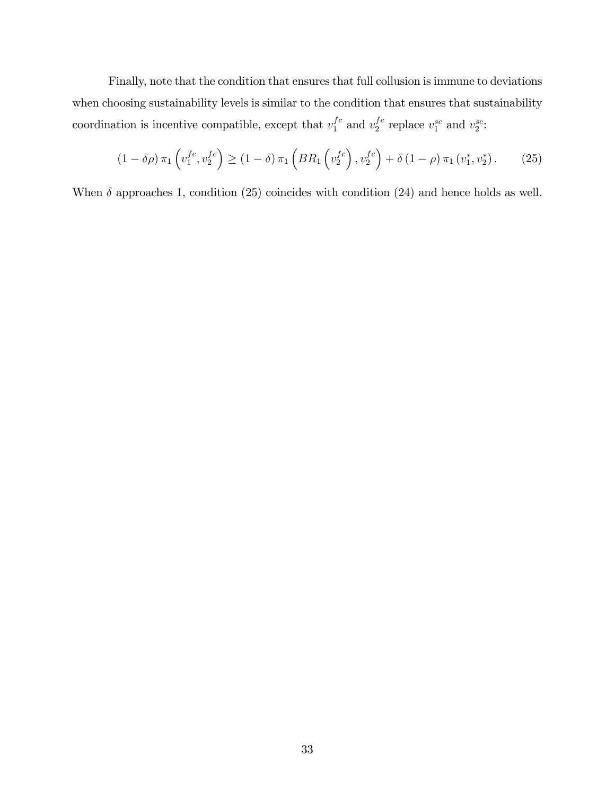Finally, note that the condition that ensures that full collusion is immune to deviations when choosing sustainability levels is similar to the condition that ensures that sustainability coordination is incentive compatible, except that  $v_1^{fc}$  and  $v_2^{fc}$  $_2^{fc}$  replace  $v_1^{sc}$  and  $v_2^{sc}$ :

$$
(1 - \delta \rho) \pi_1 \left( v_1^{fc}, v_2^{fc} \right) \ge (1 - \delta) \pi_1 \left( BR_1 \left( v_2^{fc} \right), v_2^{fc} \right) + \delta \left( 1 - \rho \right) \pi_1 \left( v_1^*, v_2^* \right). \tag{25}
$$

When  $\delta$  approaches 1, condition (25) coincides with condition (24) and hence holds as well.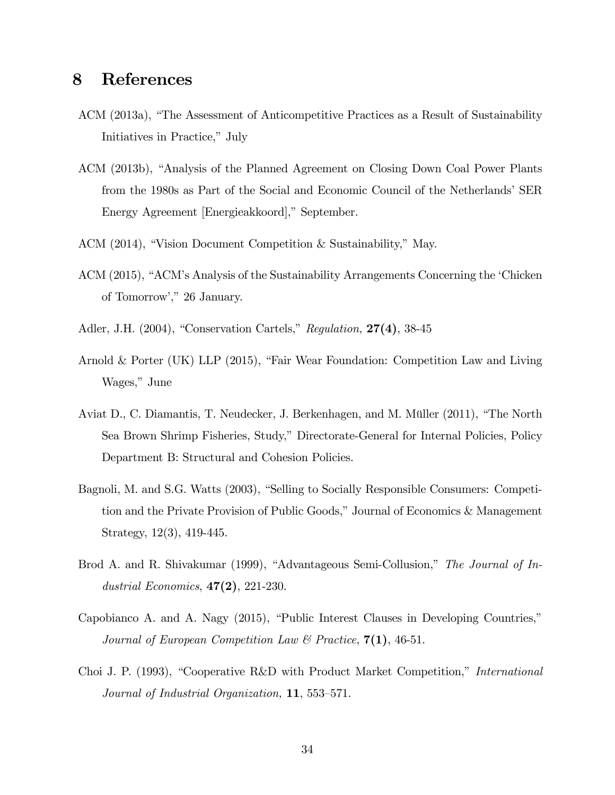## 8 References

- ACM (2013a), "The Assessment of Anticompetitive Practices as a Result of Sustainability Initiatives in Practice," July
- ACM (2013b), "Analysis of the Planned Agreement on Closing Down Coal Power Plants from the 1980s as Part of the Social and Economic Council of the Netherlands' SER Energy Agreement [Energieakkoord]," September.
- ACM (2014), "Vision Document Competition  $&$  Sustainability," May.
- ACM (2015), "ACM's Analysis of the Sustainability Arrangements Concerning the 'Chicken of Tomorrow'," 26 January.
- Adler, J.H.  $(2004)$ , "Conservation Cartels," Regulation,  $27(4)$ , 38-45
- Arnold & Porter (UK) LLP (2015), "Fair Wear Foundation: Competition Law and Living Wages," June
- Aviat D., C. Diamantis, T. Neudecker, J. Berkenhagen, and M. Müller (2011), "The North Sea Brown Shrimp Fisheries, Study," Directorate-General for Internal Policies, Policy Department B: Structural and Cohesion Policies.
- Bagnoli, M. and S.G. Watts (2003), "Selling to Socially Responsible Consumers: Competition and the Private Provision of Public Goods," Journal of Economics & Management Strategy, 12(3), 419-445.
- Brod A. and R. Shivakumar (1999), "Advantageous Semi-Collusion," The Journal of Industrial Economics,  $47(2)$ , 221-230.
- Capobianco A. and A. Nagy  $(2015)$ , "Public Interest Clauses in Developing Countries," Journal of European Competition Law & Practice,  $7(1)$ , 46-51.
- Choi J. P. (1993), "Cooperative R&D with Product Market Competition," *International* Journal of Industrial Organization,  $11, 553-571.$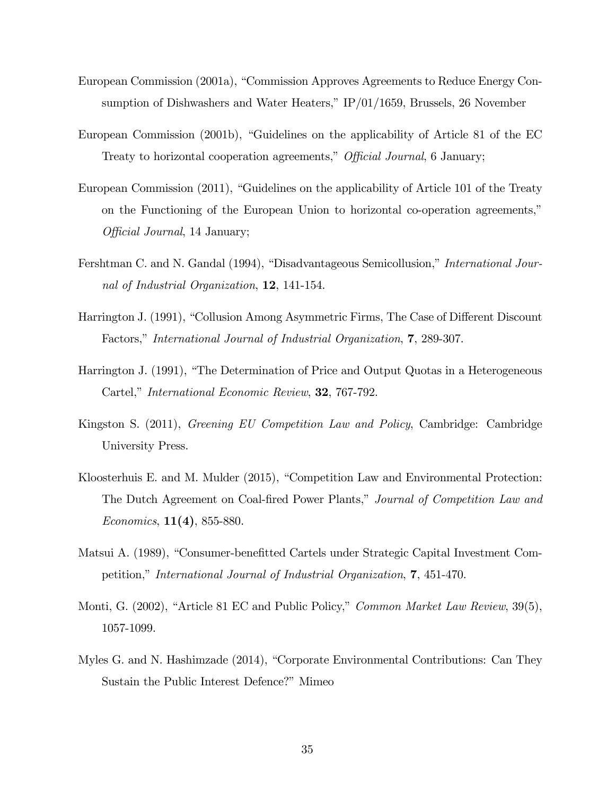- European Commission (2001a), "Commission Approves Agreements to Reduce Energy Consumption of Dishwashers and Water Heaters,"  $IP/01/1659$ , Brussels, 26 November
- European Commission  $(2001b)$ , "Guidelines on the applicability of Article 81 of the EC Treaty to horizontal cooperation agreements," Official Journal, 6 January;
- European Commission  $(2011)$ , "Guidelines on the applicability of Article 101 of the Treaty on the Functioning of the European Union to horizontal co-operation agreements," Official Journal, 14 January;
- Fershtman C. and N. Gandal (1994), "Disadvantageous Semicollusion," *International Jour*nal of Industrial Organization, 12, 141-154.
- Harrington J. (1991), "Collusion Among Asymmetric Firms, The Case of Different Discount Factors," International Journal of Industrial Organization, 7, 289-307.
- Harrington J. (1991), "The Determination of Price and Output Quotas in a Heterogeneous Cartel," International Economic Review, 32, 767-792.
- Kingston S. (2011), Greening EU Competition Law and Policy, Cambridge: Cambridge University Press.
- Kloosterhuis E. and M. Mulder (2015), "Competition Law and Environmental Protection: The Dutch Agreement on Coal-fired Power Plants," Journal of Competition Law and Economics,  $11(4)$ , 855-880.
- Matsui A. (1989), "Consumer-benefitted Cartels under Strategic Capital Investment Competition," International Journal of Industrial Organization, 7, 451-470.
- Monti, G. (2002), "Article 81 EC and Public Policy," Common Market Law Review, 39(5), 1057-1099.
- Myles G. and N. Hashimzade (2014), "Corporate Environmental Contributions: Can They Sustain the Public Interest Defence?" Mimeo